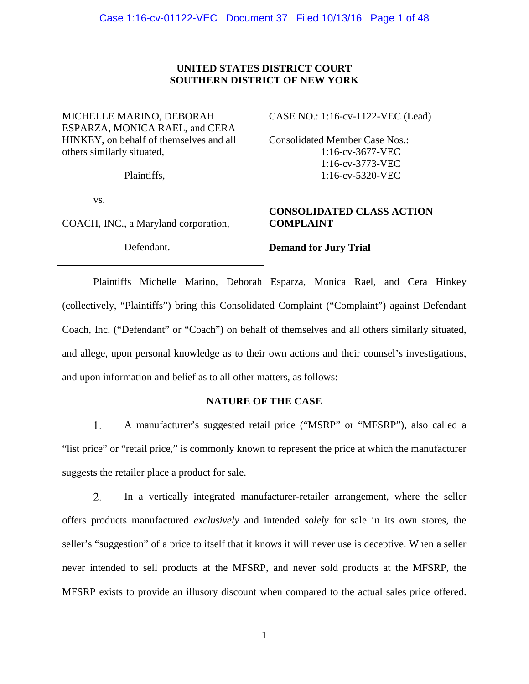## **UNITED STATES DISTRICT COURT SOUTHERN DISTRICT OF NEW YORK**

MICHELLE MARINO, DEBORAH ESPARZA, MONICA RAEL, and CERA HINKEY, on behalf of themselves and all others similarly situated,

Plaintiffs,

vs.

COACH, INC., a Maryland corporation,

Defendant.

CASE NO.: 1:16-cv-1122-VEC (Lead)

Consolidated Member Case Nos.: 1:16-cv-3677-VEC 1:16-cv-3773-VEC 1:16-cv-5320-VEC

## **CONSOLIDATED CLASS ACTION COMPLAINT**

**Demand for Jury Trial**

Plaintiffs Michelle Marino, Deborah Esparza, Monica Rael, and Cera Hinkey (collectively, "Plaintiffs") bring this Consolidated Complaint ("Complaint") against Defendant Coach, Inc. ("Defendant" or "Coach") on behalf of themselves and all others similarly situated, and allege, upon personal knowledge as to their own actions and their counsel's investigations, and upon information and belief as to all other matters, as follows:

## **NATURE OF THE CASE**

1. A manufacturer's suggested retail price ("MSRP" or "MFSRP"), also called a "list price" or "retail price," is commonly known to represent the price at which the manufacturer suggests the retailer place a product for sale.

2. In a vertically integrated manufacturer-retailer arrangement, where the seller offers products manufactured *exclusively* and intended *solely* for sale in its own stores, the seller's "suggestion" of a price to itself that it knows it will never use is deceptive. When a seller never intended to sell products at the MFSRP, and never sold products at the MFSRP, the MFSRP exists to provide an illusory discount when compared to the actual sales price offered.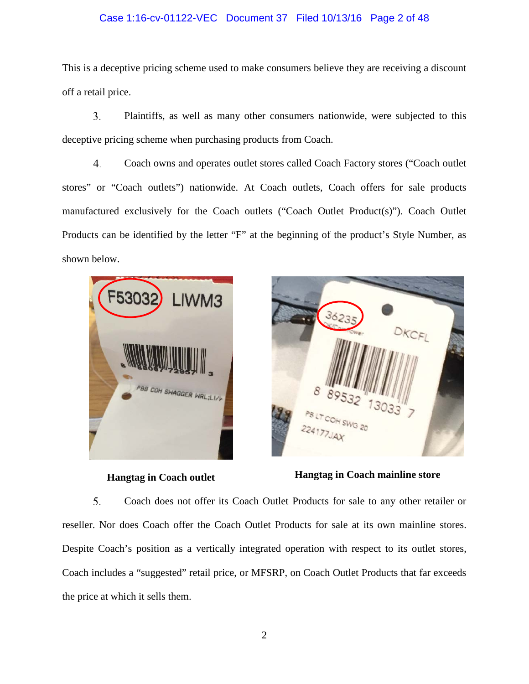### Case 1:16-cv-01122-VEC Document 37 Filed 10/13/16 Page 2 of 48

This is a deceptive pricing scheme used to make consumers believe they are receiving a discount off a retail price.

3. Plaintiffs, as well as many other consumers nationwide, were subjected to this deceptive pricing scheme when purchasing products from Coach.

4. Coach owns and operates outlet stores called Coach Factory stores ("Coach outlet stores" or "Coach outlets") nationwide. At Coach outlets, Coach offers for sale products manufactured exclusively for the Coach outlets ("Coach Outlet Product(s)"). Coach Outlet Products can be identified by the letter "F" at the beginning of the product's Style Number, as shown below.





**Hangtag in Coach outlet Hangtag in Coach mainline store**

5. Coach does not offer its Coach Outlet Products for sale to any other retailer or reseller. Nor does Coach offer the Coach Outlet Products for sale at its own mainline stores. Despite Coach's position as a vertically integrated operation with respect to its outlet stores, Coach includes a "suggested" retail price, or MFSRP, on Coach Outlet Products that far exceeds the price at which it sells them.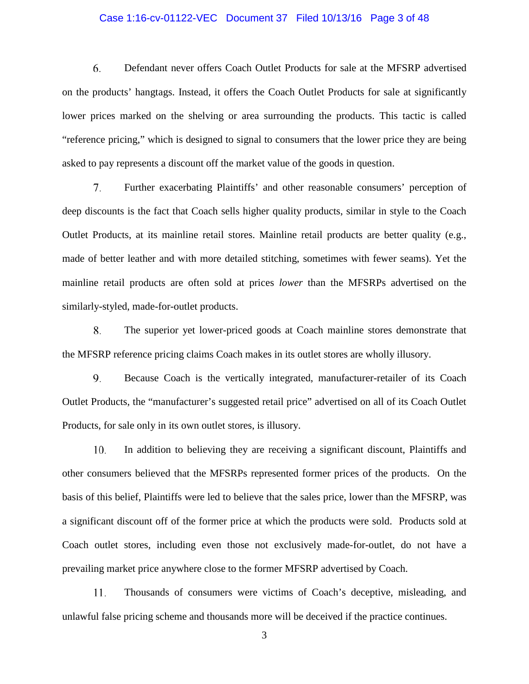#### Case 1:16-cv-01122-VEC Document 37 Filed 10/13/16 Page 3 of 48

6. Defendant never offers Coach Outlet Products for sale at the MFSRP advertised on the products' hangtags. Instead, it offers the Coach Outlet Products for sale at significantly lower prices marked on the shelving or area surrounding the products. This tactic is called "reference pricing," which is designed to signal to consumers that the lower price they are being asked to pay represents a discount off the market value of the goods in question.

7. Further exacerbating Plaintiffs' and other reasonable consumers' perception of deep discounts is the fact that Coach sells higher quality products, similar in style to the Coach Outlet Products, at its mainline retail stores. Mainline retail products are better quality (e.g., made of better leather and with more detailed stitching, sometimes with fewer seams). Yet the mainline retail products are often sold at prices *lower* than the MFSRPs advertised on the similarly-styled, made-for-outlet products.

8. The superior yet lower-priced goods at Coach mainline stores demonstrate that the MFSRP reference pricing claims Coach makes in its outlet stores are wholly illusory.

9. Because Coach is the vertically integrated, manufacturer-retailer of its Coach Outlet Products, the "manufacturer's suggested retail price" advertised on all of its Coach Outlet Products, for sale only in its own outlet stores, is illusory.

10. In addition to believing they are receiving a significant discount, Plaintiffs and other consumers believed that the MFSRPs represented former prices of the products. On the basis of this belief, Plaintiffs were led to believe that the sales price, lower than the MFSRP, was a significant discount off of the former price at which the products were sold. Products sold at Coach outlet stores, including even those not exclusively made-for-outlet, do not have a prevailing market price anywhere close to the former MFSRP advertised by Coach.

11. Thousands of consumers were victims of Coach's deceptive, misleading, and unlawful false pricing scheme and thousands more will be deceived if the practice continues.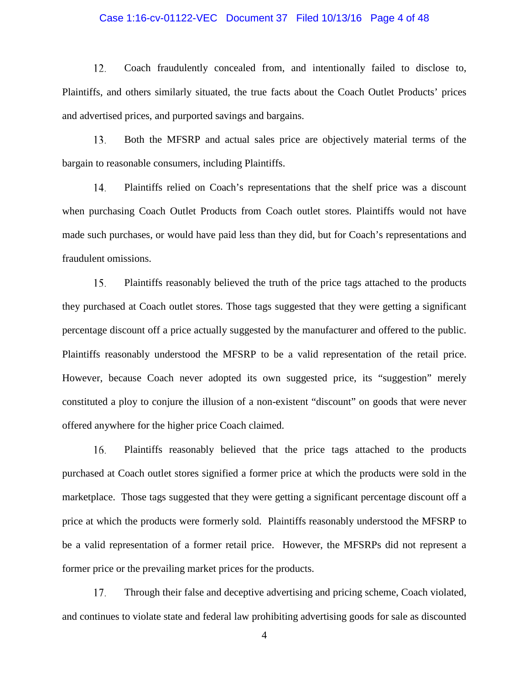#### Case 1:16-cv-01122-VEC Document 37 Filed 10/13/16 Page 4 of 48

12. Coach fraudulently concealed from, and intentionally failed to disclose to, Plaintiffs, and others similarly situated, the true facts about the Coach Outlet Products' prices and advertised prices, and purported savings and bargains.

13. Both the MFSRP and actual sales price are objectively material terms of the bargain to reasonable consumers, including Plaintiffs.

14. Plaintiffs relied on Coach's representations that the shelf price was a discount when purchasing Coach Outlet Products from Coach outlet stores. Plaintiffs would not have made such purchases, or would have paid less than they did, but for Coach's representations and fraudulent omissions.

15. Plaintiffs reasonably believed the truth of the price tags attached to the products they purchased at Coach outlet stores. Those tags suggested that they were getting a significant percentage discount off a price actually suggested by the manufacturer and offered to the public. Plaintiffs reasonably understood the MFSRP to be a valid representation of the retail price. However, because Coach never adopted its own suggested price, its "suggestion" merely constituted a ploy to conjure the illusion of a non-existent "discount" on goods that were never offered anywhere for the higher price Coach claimed.

16. Plaintiffs reasonably believed that the price tags attached to the products purchased at Coach outlet stores signified a former price at which the products were sold in the marketplace. Those tags suggested that they were getting a significant percentage discount off a price at which the products were formerly sold. Plaintiffs reasonably understood the MFSRP to be a valid representation of a former retail price. However, the MFSRPs did not represent a former price or the prevailing market prices for the products.

17. Through their false and deceptive advertising and pricing scheme, Coach violated, and continues to violate state and federal law prohibiting advertising goods for sale as discounted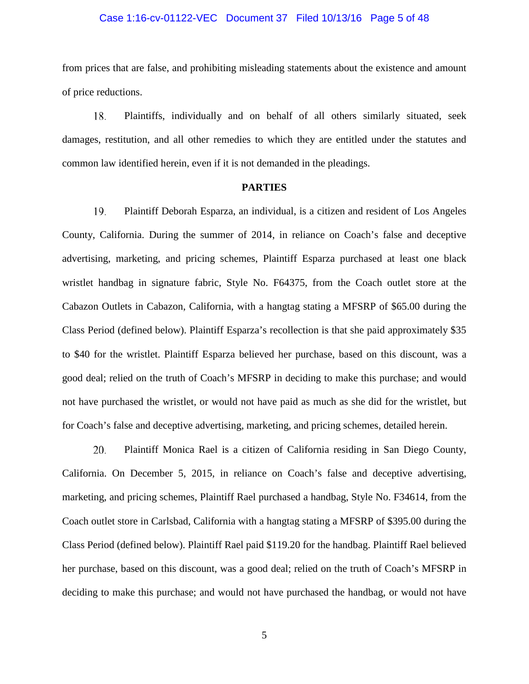#### Case 1:16-cv-01122-VEC Document 37 Filed 10/13/16 Page 5 of 48

from prices that are false, and prohibiting misleading statements about the existence and amount of price reductions.

18. Plaintiffs, individually and on behalf of all others similarly situated, seek damages, restitution, and all other remedies to which they are entitled under the statutes and common law identified herein, even if it is not demanded in the pleadings.

#### **PARTIES**

19. Plaintiff Deborah Esparza, an individual, is a citizen and resident of Los Angeles County, California. During the summer of 2014, in reliance on Coach's false and deceptive advertising, marketing, and pricing schemes, Plaintiff Esparza purchased at least one black wristlet handbag in signature fabric, Style No. F64375, from the Coach outlet store at the Cabazon Outlets in Cabazon, California, with a hangtag stating a MFSRP of \$65.00 during the Class Period (defined below). Plaintiff Esparza's recollection is that she paid approximately \$35 to \$40 for the wristlet. Plaintiff Esparza believed her purchase, based on this discount, was a good deal; relied on the truth of Coach's MFSRP in deciding to make this purchase; and would not have purchased the wristlet, or would not have paid as much as she did for the wristlet, but for Coach's false and deceptive advertising, marketing, and pricing schemes, detailed herein.

20. Plaintiff Monica Rael is a citizen of California residing in San Diego County, California. On December 5, 2015, in reliance on Coach's false and deceptive advertising, marketing, and pricing schemes, Plaintiff Rael purchased a handbag, Style No. F34614, from the Coach outlet store in Carlsbad, California with a hangtag stating a MFSRP of \$395.00 during the Class Period (defined below). Plaintiff Rael paid \$119.20 for the handbag. Plaintiff Rael believed her purchase, based on this discount, was a good deal; relied on the truth of Coach's MFSRP in deciding to make this purchase; and would not have purchased the handbag, or would not have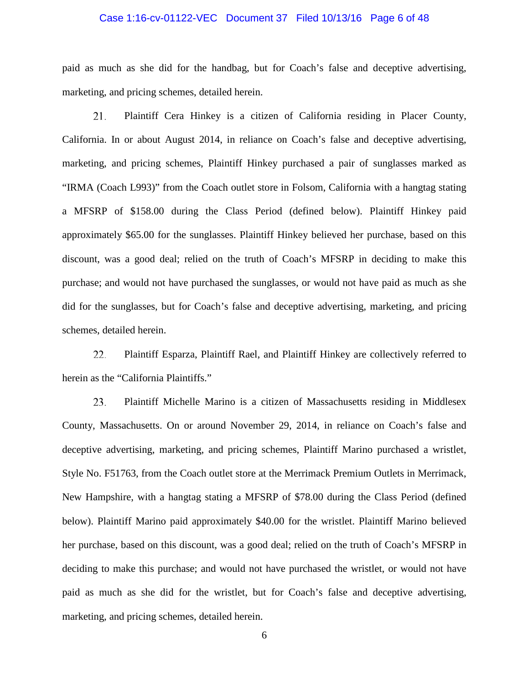#### Case 1:16-cv-01122-VEC Document 37 Filed 10/13/16 Page 6 of 48

paid as much as she did for the handbag, but for Coach's false and deceptive advertising, marketing, and pricing schemes, detailed herein.

21. Plaintiff Cera Hinkey is a citizen of California residing in Placer County, California. In or about August 2014, in reliance on Coach's false and deceptive advertising, marketing, and pricing schemes, Plaintiff Hinkey purchased a pair of sunglasses marked as "IRMA (Coach L993)" from the Coach outlet store in Folsom, California with a hangtag stating a MFSRP of \$158.00 during the Class Period (defined below). Plaintiff Hinkey paid approximately \$65.00 for the sunglasses. Plaintiff Hinkey believed her purchase, based on this discount, was a good deal; relied on the truth of Coach's MFSRP in deciding to make this purchase; and would not have purchased the sunglasses, or would not have paid as much as she did for the sunglasses, but for Coach's false and deceptive advertising, marketing, and pricing schemes, detailed herein.

22. Plaintiff Esparza, Plaintiff Rael, and Plaintiff Hinkey are collectively referred to herein as the "California Plaintiffs."

23. Plaintiff Michelle Marino is a citizen of Massachusetts residing in Middlesex County, Massachusetts. On or around November 29, 2014, in reliance on Coach's false and deceptive advertising, marketing, and pricing schemes, Plaintiff Marino purchased a wristlet, Style No. F51763, from the Coach outlet store at the Merrimack Premium Outlets in Merrimack, New Hampshire, with a hangtag stating a MFSRP of \$78.00 during the Class Period (defined below). Plaintiff Marino paid approximately \$40.00 for the wristlet. Plaintiff Marino believed her purchase, based on this discount, was a good deal; relied on the truth of Coach's MFSRP in deciding to make this purchase; and would not have purchased the wristlet, or would not have paid as much as she did for the wristlet, but for Coach's false and deceptive advertising, marketing, and pricing schemes, detailed herein.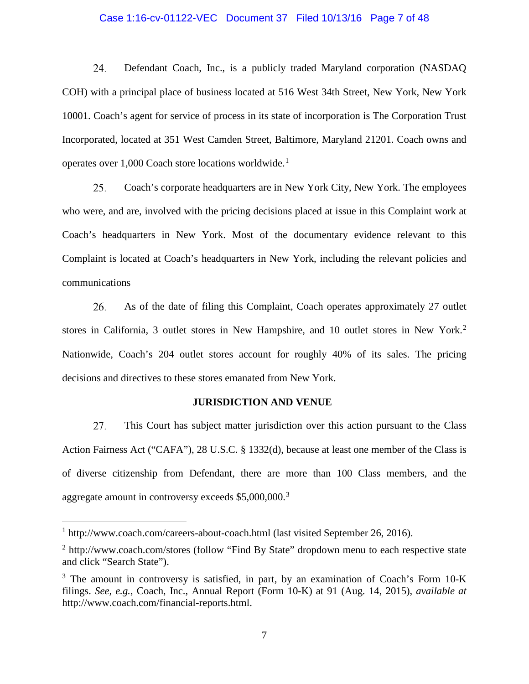#### Case 1:16-cv-01122-VEC Document 37 Filed 10/13/16 Page 7 of 48

24. Defendant Coach, Inc., is a publicly traded Maryland corporation (NASDAQ COH) with a principal place of business located at 516 West 34th Street, New York, New York 10001. Coach's agent for service of process in its state of incorporation is The Corporation Trust Incorporated, located at 351 West Camden Street, Baltimore, Maryland 21201. Coach owns and operates over 1,000 Coach store locations worldwide.[1](#page-6-0)

25. Coach's corporate headquarters are in New York City, New York. The employees who were, and are, involved with the pricing decisions placed at issue in this Complaint work at Coach's headquarters in New York. Most of the documentary evidence relevant to this Complaint is located at Coach's headquarters in New York, including the relevant policies and communications

As of the date of filing this Complaint, Coach operates approximately 27 outlet 26. stores in California, 3 outlet stores in New Hampshire, and 10 outlet stores in New York.[2](#page-6-1) Nationwide, Coach's 204 outlet stores account for roughly 40% of its sales. The pricing decisions and directives to these stores emanated from New York.

#### **JURISDICTION AND VENUE**

27. This Court has subject matter jurisdiction over this action pursuant to the Class Action Fairness Act ("CAFA"), 28 U.S.C. § 1332(d), because at least one member of the Class is of diverse citizenship from Defendant, there are more than 100 Class members, and the aggregate amount in controversy exceeds \$5,000,000.<sup>[3](#page-6-2)</sup>

<span id="page-6-0"></span><sup>&</sup>lt;sup>1</sup> http://www.coach.com/careers-about-coach.html (last visited September 26, 2016).

<span id="page-6-1"></span><sup>&</sup>lt;sup>2</sup> http://www.coach.com/stores (follow "Find By State" dropdown menu to each respective state and click "Search State").

<span id="page-6-2"></span> $3$  The amount in controversy is satisfied, in part, by an examination of Coach's Form 10-K filings. *See, e.g.*, Coach, Inc., Annual Report (Form 10-K) at 91 (Aug. 14, 2015), *available at*  http://www.coach.com/financial-reports.html.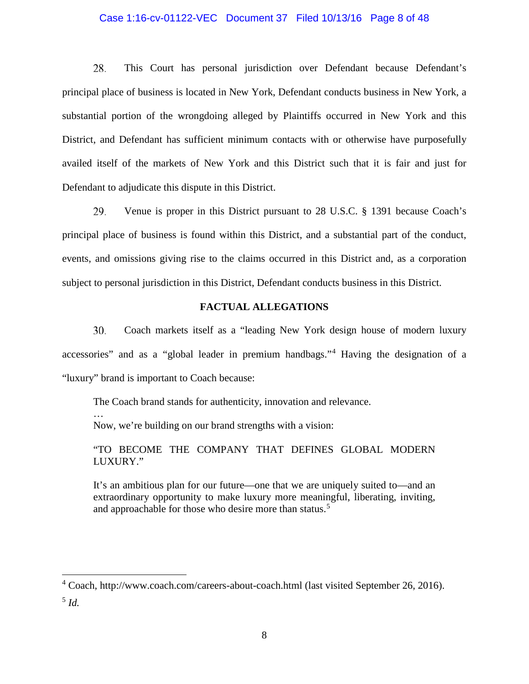#### Case 1:16-cv-01122-VEC Document 37 Filed 10/13/16 Page 8 of 48

28. This Court has personal jurisdiction over Defendant because Defendant's principal place of business is located in New York, Defendant conducts business in New York, a substantial portion of the wrongdoing alleged by Plaintiffs occurred in New York and this District, and Defendant has sufficient minimum contacts with or otherwise have purposefully availed itself of the markets of New York and this District such that it is fair and just for Defendant to adjudicate this dispute in this District.

29. Venue is proper in this District pursuant to 28 U.S.C. § 1391 because Coach's principal place of business is found within this District, and a substantial part of the conduct, events, and omissions giving rise to the claims occurred in this District and, as a corporation subject to personal jurisdiction in this District, Defendant conducts business in this District.

#### **FACTUAL ALLEGATIONS**

30. Coach markets itself as a "leading New York design house of modern luxury accessories" and as a "global leader in premium handbags."[4](#page-7-0) Having the designation of a "luxury" brand is important to Coach because:

The Coach brand stands for authenticity, innovation and relevance. …

Now, we're building on our brand strengths with a vision:

"TO BECOME THE COMPANY THAT DEFINES GLOBAL MODERN LUXURY."

It's an ambitious plan for our future—one that we are uniquely suited to—and an extraordinary opportunity to make luxury more meaningful, liberating, inviting, and approachable for those who desire more than status.<sup>[5](#page-7-1)</sup>

<span id="page-7-0"></span> <sup>4</sup> Coach, http://www.coach.com/careers-about-coach.html (last visited September 26, 2016).

<span id="page-7-1"></span><sup>5</sup> *Id.*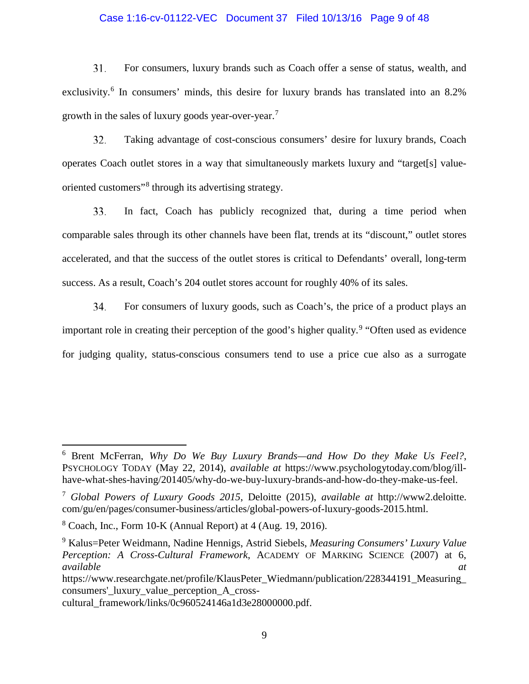#### Case 1:16-cv-01122-VEC Document 37 Filed 10/13/16 Page 9 of 48

31. For consumers, luxury brands such as Coach offer a sense of status, wealth, and exclusivity.<sup>[6](#page-8-0)</sup> In consumers' minds, this desire for luxury brands has translated into an 8.2% growth in the sales of luxury goods year-over-year.[7](#page-8-1)

Taking advantage of cost-conscious consumers' desire for luxury brands, Coach 32. operates Coach outlet stores in a way that simultaneously markets luxury and "target[s] valueoriented customers"[8](#page-8-2) through its advertising strategy.

In fact, Coach has publicly recognized that, during a time period when 33. comparable sales through its other channels have been flat, trends at its "discount," outlet stores accelerated, and that the success of the outlet stores is critical to Defendants' overall, long-term success. As a result, Coach's 204 outlet stores account for roughly 40% of its sales.

34. For consumers of luxury goods, such as Coach's, the price of a product plays an important role in creating their perception of the good's higher quality.<sup>[9](#page-8-3)</sup> "Often used as evidence for judging quality, status-conscious consumers tend to use a price cue also as a surrogate

<span id="page-8-0"></span> <sup>6</sup> Brent McFerran, *Why Do We Buy Luxury Brands—and How Do they Make Us Feel?*, PSYCHOLOGY TODAY (May 22, 2014), *available at* https://www.psychologytoday.com/blog/illhave-what-shes-having/201405/why-do-we-buy-luxury-brands-and-how-do-they-make-us-feel.

<span id="page-8-1"></span><sup>7</sup> *Global Powers of Luxury Goods 2015*, Deloitte (2015), *available at* http://www2.deloitte. com/gu/en/pages/consumer-business/articles/global-powers-of-luxury-goods-2015.html.

<span id="page-8-2"></span> $8$  Coach, Inc., Form 10-K (Annual Report) at 4 (Aug. 19, 2016).

<span id="page-8-3"></span><sup>9</sup> Kalus=Peter Weidmann, Nadine Hennigs, Astrid Siebels, *Measuring Consumers' Luxury Value Perception: A Cross-Cultural Framework*, ACADEMY OF MARKING SCIENCE (2007) at 6, *available at* 

https://www.researchgate.net/profile/KlausPeter\_Wiedmann/publication/228344191\_Measuring consumers'\_luxury\_value\_perception\_A\_cross-

cultural\_framework/links/0c960524146a1d3e28000000.pdf.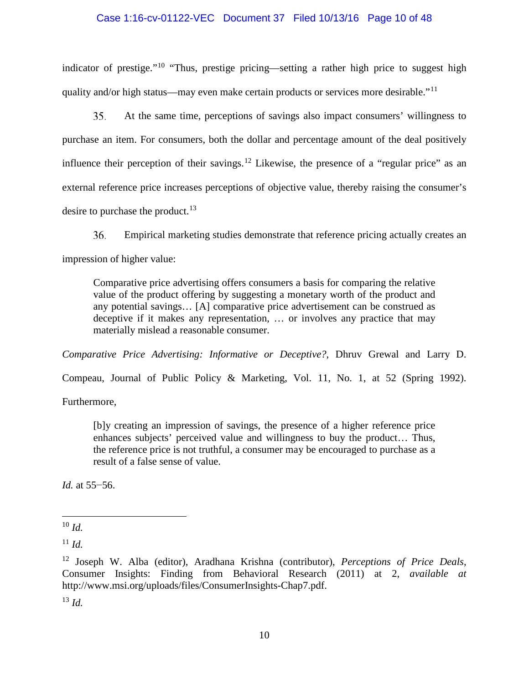### Case 1:16-cv-01122-VEC Document 37 Filed 10/13/16 Page 10 of 48

indicator of prestige."<sup>[10](#page-9-0)</sup> "Thus, prestige pricing—setting a rather high price to suggest high quality and/or high status—may even make certain products or services more desirable."<sup>[11](#page-9-1)</sup>

 $35.$ At the same time, perceptions of savings also impact consumers' willingness to purchase an item. For consumers, both the dollar and percentage amount of the deal positively influence their perception of their savings.<sup>[12](#page-9-2)</sup> Likewise, the presence of a "regular price" as an external reference price increases perceptions of objective value, thereby raising the consumer's desire to purchase the product. $^{13}$  $^{13}$  $^{13}$ 

 $36.$ Empirical marketing studies demonstrate that reference pricing actually creates an impression of higher value:

Comparative price advertising offers consumers a basis for comparing the relative value of the product offering by suggesting a monetary worth of the product and any potential savings… [A] comparative price advertisement can be construed as deceptive if it makes any representation, … or involves any practice that may materially mislead a reasonable consumer.

*Comparative Price Advertising: Informative or Deceptive?*, Dhruv Grewal and Larry D.

Compeau, Journal of Public Policy & Marketing, Vol. 11, No. 1, at 52 (Spring 1992).

Furthermore,

[b]y creating an impression of savings, the presence of a higher reference price enhances subjects' perceived value and willingness to buy the product… Thus, the reference price is not truthful, a consumer may be encouraged to purchase as a result of a false sense of value.

*Id.* at 55–56.

<span id="page-9-1"></span> $11 \, Id.$ 

<span id="page-9-3"></span><sup>13</sup> *Id.*

<span id="page-9-0"></span> $10 \, Id.$ 

<span id="page-9-2"></span><sup>12</sup> Joseph W. Alba (editor), Aradhana Krishna (contributor), *Perceptions of Price Deals*, Consumer Insights: Finding from Behavioral Research (2011) at 2, *available at*  http://www.msi.org/uploads/files/ConsumerInsights-Chap7.pdf.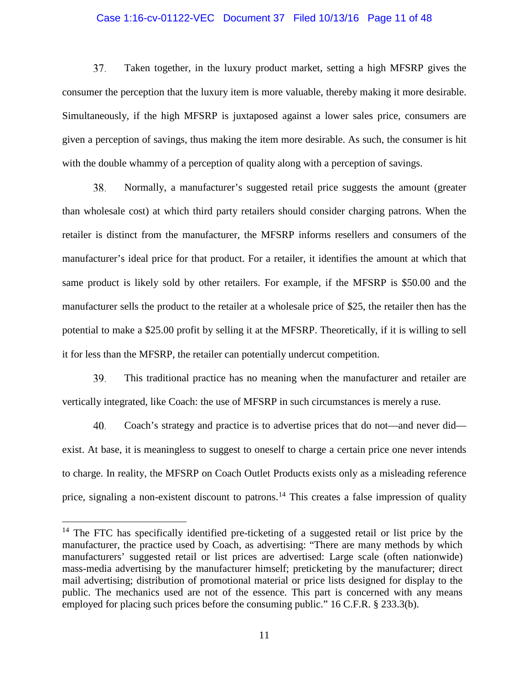#### Case 1:16-cv-01122-VEC Document 37 Filed 10/13/16 Page 11 of 48

37. Taken together, in the luxury product market, setting a high MFSRP gives the consumer the perception that the luxury item is more valuable, thereby making it more desirable. Simultaneously, if the high MFSRP is juxtaposed against a lower sales price, consumers are given a perception of savings, thus making the item more desirable. As such, the consumer is hit with the double whammy of a perception of quality along with a perception of savings.

38. Normally, a manufacturer's suggested retail price suggests the amount (greater than wholesale cost) at which third party retailers should consider charging patrons. When the retailer is distinct from the manufacturer, the MFSRP informs resellers and consumers of the manufacturer's ideal price for that product. For a retailer, it identifies the amount at which that same product is likely sold by other retailers. For example, if the MFSRP is \$50.00 and the manufacturer sells the product to the retailer at a wholesale price of \$25, the retailer then has the potential to make a \$25.00 profit by selling it at the MFSRP. Theoretically, if it is willing to sell it for less than the MFSRP, the retailer can potentially undercut competition.

39. This traditional practice has no meaning when the manufacturer and retailer are vertically integrated, like Coach: the use of MFSRP in such circumstances is merely a ruse.

40. Coach's strategy and practice is to advertise prices that do not—and never did exist. At base, it is meaningless to suggest to oneself to charge a certain price one never intends to charge. In reality, the MFSRP on Coach Outlet Products exists only as a misleading reference price, signaling a non-existent discount to patrons.<sup>[14](#page-10-0)</sup> This creates a false impression of quality

<span id="page-10-0"></span> $14$  The FTC has specifically identified pre-ticketing of a suggested retail or list price by the manufacturer, the practice used by Coach, as advertising: "There are many methods by which manufacturers' suggested retail or list prices are advertised: Large scale (often nationwide) mass-media advertising by the manufacturer himself; preticketing by the manufacturer; direct mail advertising; distribution of promotional material or price lists designed for display to the public. The mechanics used are not of the essence. This part is concerned with any means employed for placing such prices before the consuming public." 16 C.F.R. § 233.3(b).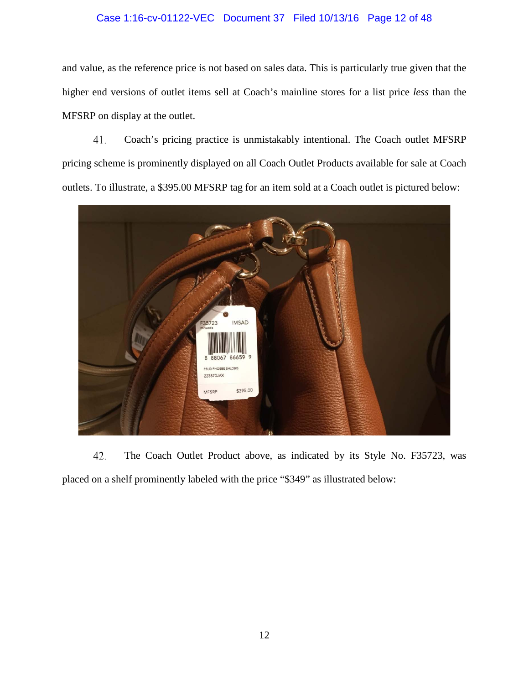## Case 1:16-cv-01122-VEC Document 37 Filed 10/13/16 Page 12 of 48

and value, as the reference price is not based on sales data. This is particularly true given that the higher end versions of outlet items sell at Coach's mainline stores for a list price *less* than the MFSRP on display at the outlet.

41. Coach's pricing practice is unmistakably intentional. The Coach outlet MFSRP pricing scheme is prominently displayed on all Coach Outlet Products available for sale at Coach outlets. To illustrate, a \$395.00 MFSRP tag for an item sold at a Coach outlet is pictured below:



42. The Coach Outlet Product above, as indicated by its Style No. F35723, was placed on a shelf prominently labeled with the price "\$349" as illustrated below: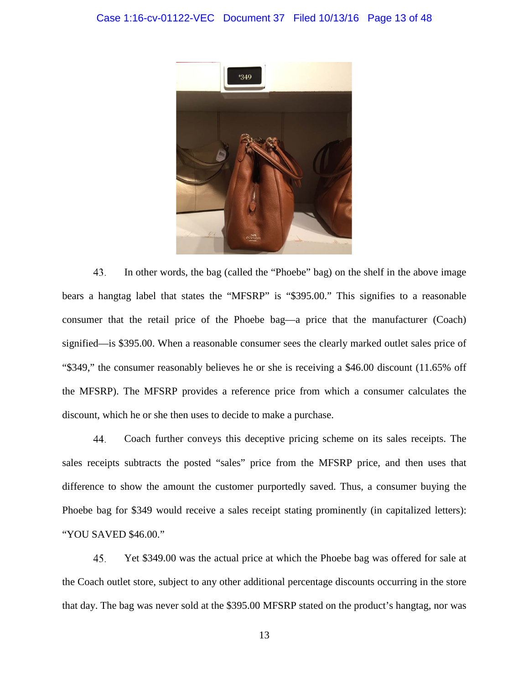

43. In other words, the bag (called the "Phoebe" bag) on the shelf in the above image bears a hangtag label that states the "MFSRP" is "\$395.00." This signifies to a reasonable consumer that the retail price of the Phoebe bag—a price that the manufacturer (Coach) signified—is \$395.00. When a reasonable consumer sees the clearly marked outlet sales price of "\$349," the consumer reasonably believes he or she is receiving a \$46.00 discount (11.65% off the MFSRP). The MFSRP provides a reference price from which a consumer calculates the discount, which he or she then uses to decide to make a purchase.

44. Coach further conveys this deceptive pricing scheme on its sales receipts. The sales receipts subtracts the posted "sales" price from the MFSRP price, and then uses that difference to show the amount the customer purportedly saved. Thus, a consumer buying the Phoebe bag for \$349 would receive a sales receipt stating prominently (in capitalized letters): "YOU SAVED \$46.00."

45. Yet \$349.00 was the actual price at which the Phoebe bag was offered for sale at the Coach outlet store, subject to any other additional percentage discounts occurring in the store that day. The bag was never sold at the \$395.00 MFSRP stated on the product's hangtag, nor was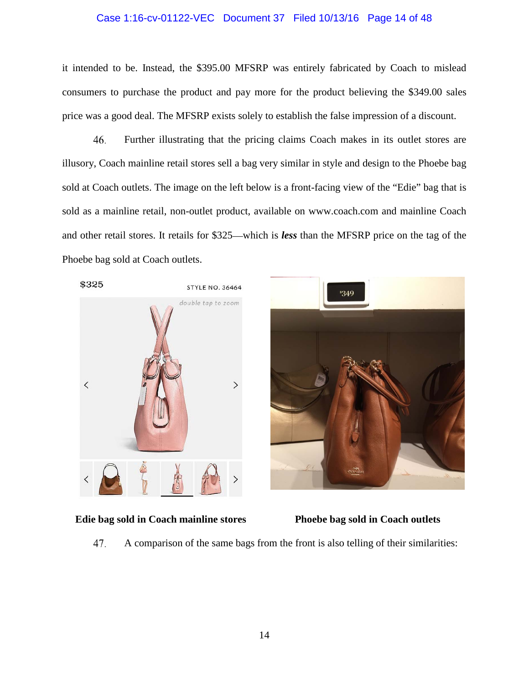#### Case 1:16-cv-01122-VEC Document 37 Filed 10/13/16 Page 14 of 48

it intended to be. Instead, the \$395.00 MFSRP was entirely fabricated by Coach to mislead consumers to purchase the product and pay more for the product believing the \$349.00 sales price was a good deal. The MFSRP exists solely to establish the false impression of a discount.

46. Further illustrating that the pricing claims Coach makes in its outlet stores are illusory, Coach mainline retail stores sell a bag very similar in style and design to the Phoebe bag sold at Coach outlets. The image on the left below is a front-facing view of the "Edie" bag that is sold as a mainline retail, non-outlet product, available on www.coach.com and mainline Coach and other retail stores. It retails for \$325—which is *less* than the MFSRP price on the tag of the Phoebe bag sold at Coach outlets.



#### **Edie bag sold in Coach mainline stores Phoebe bag sold in Coach outlets**



47. A comparison of the same bags from the front is also telling of their similarities: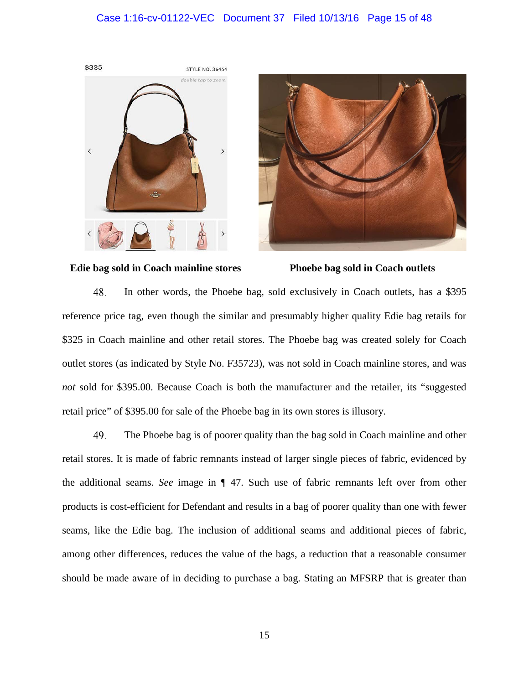#### Case 1:16-cv-01122-VEC Document 37 Filed 10/13/16 Page 15 of 48







48. In other words, the Phoebe bag, sold exclusively in Coach outlets, has a \$395 reference price tag, even though the similar and presumably higher quality Edie bag retails for \$325 in Coach mainline and other retail stores. The Phoebe bag was created solely for Coach outlet stores (as indicated by Style No. F35723), was not sold in Coach mainline stores, and was *not* sold for \$395.00. Because Coach is both the manufacturer and the retailer, its "suggested retail price" of \$395.00 for sale of the Phoebe bag in its own stores is illusory.

49. The Phoebe bag is of poorer quality than the bag sold in Coach mainline and other retail stores. It is made of fabric remnants instead of larger single pieces of fabric, evidenced by the additional seams. *See* image in ¶ 47. Such use of fabric remnants left over from other products is cost-efficient for Defendant and results in a bag of poorer quality than one with fewer seams, like the Edie bag. The inclusion of additional seams and additional pieces of fabric, among other differences, reduces the value of the bags, a reduction that a reasonable consumer should be made aware of in deciding to purchase a bag. Stating an MFSRP that is greater than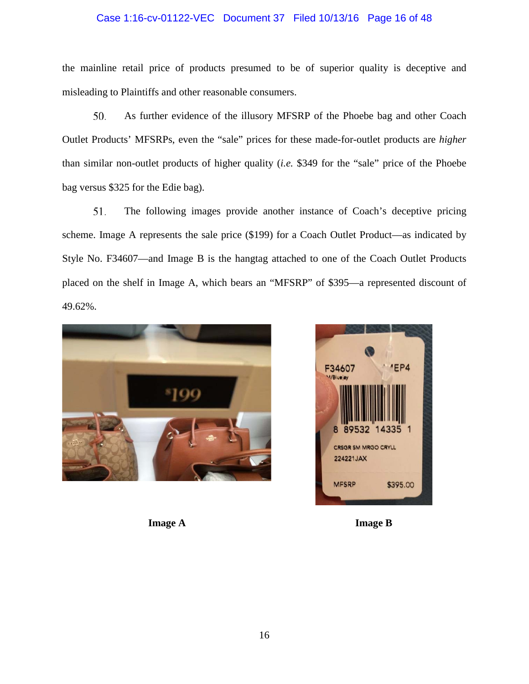## Case 1:16-cv-01122-VEC Document 37 Filed 10/13/16 Page 16 of 48

the mainline retail price of products presumed to be of superior quality is deceptive and misleading to Plaintiffs and other reasonable consumers.

50. As further evidence of the illusory MFSRP of the Phoebe bag and other Coach Outlet Products' MFSRPs, even the "sale" prices for these made-for-outlet products are *higher* than similar non-outlet products of higher quality (*i.e.* \$349 for the "sale" price of the Phoebe bag versus \$325 for the Edie bag).

51. The following images provide another instance of Coach's deceptive pricing scheme. Image A represents the sale price (\$199) for a Coach Outlet Product—as indicated by Style No. F34607—and Image B is the hangtag attached to one of the Coach Outlet Products placed on the shelf in Image A, which bears an "MFSRP" of \$395—a represented discount of 49.62%.





**Image A Image B**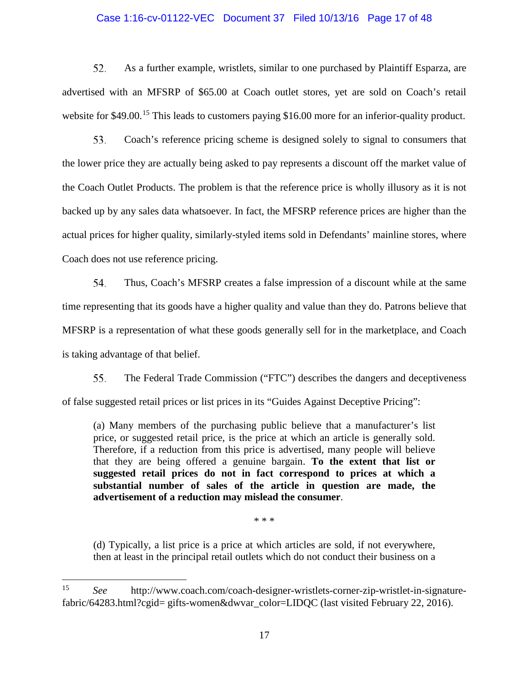#### Case 1:16-cv-01122-VEC Document 37 Filed 10/13/16 Page 17 of 48

52. As a further example, wristlets, similar to one purchased by Plaintiff Esparza, are advertised with an MFSRP of \$65.00 at Coach outlet stores, yet are sold on Coach's retail website for \$49.00.<sup>[15](#page-16-0)</sup> This leads to customers paying \$16.00 more for an inferior-quality product.

53. Coach's reference pricing scheme is designed solely to signal to consumers that the lower price they are actually being asked to pay represents a discount off the market value of the Coach Outlet Products. The problem is that the reference price is wholly illusory as it is not backed up by any sales data whatsoever. In fact, the MFSRP reference prices are higher than the actual prices for higher quality, similarly-styled items sold in Defendants' mainline stores, where Coach does not use reference pricing.

54. Thus, Coach's MFSRP creates a false impression of a discount while at the same time representing that its goods have a higher quality and value than they do. Patrons believe that MFSRP is a representation of what these goods generally sell for in the marketplace, and Coach is taking advantage of that belief.

55. The Federal Trade Commission ("FTC") describes the dangers and deceptiveness of false suggested retail prices or list prices in its "Guides Against Deceptive Pricing":

(a) Many members of the purchasing public believe that a manufacturer's list price, or suggested retail price, is the price at which an article is generally sold. Therefore, if a reduction from this price is advertised, many people will believe that they are being offered a genuine bargain. **To the extent that list or suggested retail prices do not in fact correspond to prices at which a substantial number of sales of the article in question are made, the advertisement of a reduction may mislead the consumer**.

\* \* \*

(d) Typically, a list price is a price at which articles are sold, if not everywhere, then at least in the principal retail outlets which do not conduct their business on a

<span id="page-16-0"></span> <sup>15</sup> *See* http://www.coach.com/coach-designer-wristlets-corner-zip-wristlet-in-signaturefabric/64283.html?cgid= gifts-women&dwvar\_color=LIDQC (last visited February 22, 2016).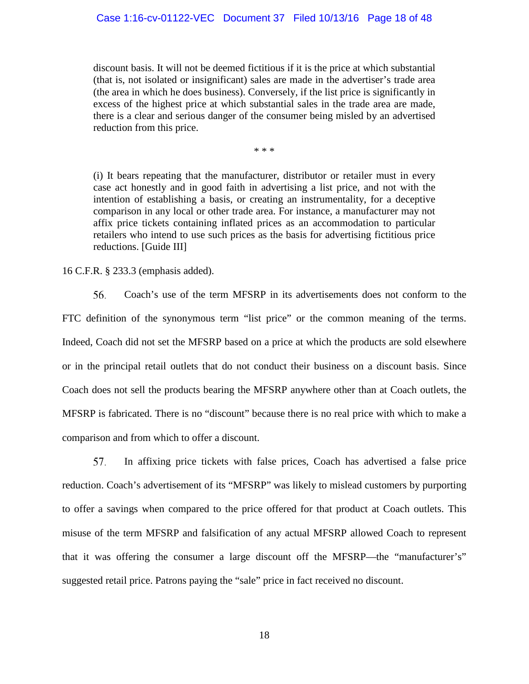discount basis. It will not be deemed fictitious if it is the price at which substantial (that is, not isolated or insignificant) sales are made in the advertiser's trade area (the area in which he does business). Conversely, if the list price is significantly in excess of the highest price at which substantial sales in the trade area are made, there is a clear and serious danger of the consumer being misled by an advertised reduction from this price.

\* \* \*

(i) It bears repeating that the manufacturer, distributor or retailer must in every case act honestly and in good faith in advertising a list price, and not with the intention of establishing a basis, or creating an instrumentality, for a deceptive comparison in any local or other trade area. For instance, a manufacturer may not affix price tickets containing inflated prices as an accommodation to particular retailers who intend to use such prices as the basis for advertising fictitious price reductions. [Guide III]

16 C.F.R. § 233.3 (emphasis added).

56. Coach's use of the term MFSRP in its advertisements does not conform to the FTC definition of the synonymous term "list price" or the common meaning of the terms. Indeed, Coach did not set the MFSRP based on a price at which the products are sold elsewhere or in the principal retail outlets that do not conduct their business on a discount basis. Since Coach does not sell the products bearing the MFSRP anywhere other than at Coach outlets, the MFSRP is fabricated. There is no "discount" because there is no real price with which to make a comparison and from which to offer a discount.

57. In affixing price tickets with false prices, Coach has advertised a false price reduction. Coach's advertisement of its "MFSRP" was likely to mislead customers by purporting to offer a savings when compared to the price offered for that product at Coach outlets. This misuse of the term MFSRP and falsification of any actual MFSRP allowed Coach to represent that it was offering the consumer a large discount off the MFSRP—the "manufacturer's" suggested retail price. Patrons paying the "sale" price in fact received no discount.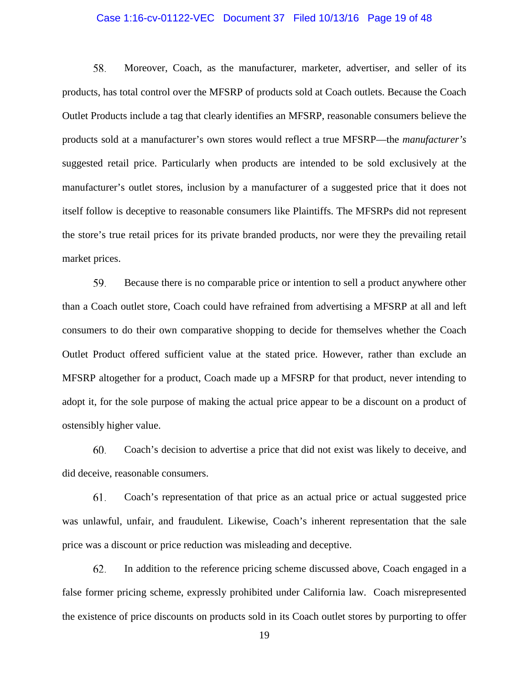#### Case 1:16-cv-01122-VEC Document 37 Filed 10/13/16 Page 19 of 48

58. Moreover, Coach, as the manufacturer, marketer, advertiser, and seller of its products, has total control over the MFSRP of products sold at Coach outlets. Because the Coach Outlet Products include a tag that clearly identifies an MFSRP, reasonable consumers believe the products sold at a manufacturer's own stores would reflect a true MFSRP—the *manufacturer's* suggested retail price. Particularly when products are intended to be sold exclusively at the manufacturer's outlet stores, inclusion by a manufacturer of a suggested price that it does not itself follow is deceptive to reasonable consumers like Plaintiffs. The MFSRPs did not represent the store's true retail prices for its private branded products, nor were they the prevailing retail market prices.

59. Because there is no comparable price or intention to sell a product anywhere other than a Coach outlet store, Coach could have refrained from advertising a MFSRP at all and left consumers to do their own comparative shopping to decide for themselves whether the Coach Outlet Product offered sufficient value at the stated price. However, rather than exclude an MFSRP altogether for a product, Coach made up a MFSRP for that product, never intending to adopt it, for the sole purpose of making the actual price appear to be a discount on a product of ostensibly higher value.

60. Coach's decision to advertise a price that did not exist was likely to deceive, and did deceive, reasonable consumers.

Coach's representation of that price as an actual price or actual suggested price 61. was unlawful, unfair, and fraudulent. Likewise, Coach's inherent representation that the sale price was a discount or price reduction was misleading and deceptive.

62. In addition to the reference pricing scheme discussed above, Coach engaged in a false former pricing scheme, expressly prohibited under California law. Coach misrepresented the existence of price discounts on products sold in its Coach outlet stores by purporting to offer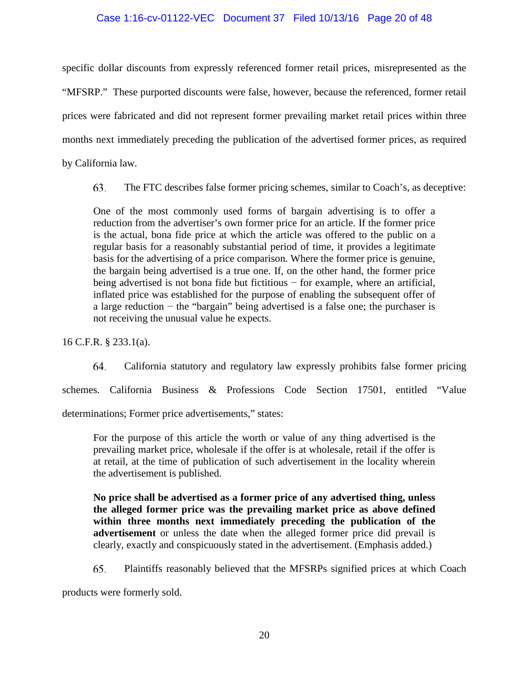## Case 1:16-cv-01122-VEC Document 37 Filed 10/13/16 Page 20 of 48

specific dollar discounts from expressly referenced former retail prices, misrepresented as the "MFSRP." These purported discounts were false, however, because the referenced, former retail prices were fabricated and did not represent former prevailing market retail prices within three months next immediately preceding the publication of the advertised former prices, as required by California law.

63. The FTC describes false former pricing schemes, similar to Coach's, as deceptive:

One of the most commonly used forms of bargain advertising is to offer a reduction from the advertiser's own former price for an article. If the former price is the actual, bona fide price at which the article was offered to the public on a regular basis for a reasonably substantial period of time, it provides a legitimate basis for the advertising of a price comparison. Where the former price is genuine, the bargain being advertised is a true one. If, on the other hand, the former price being advertised is not bona fide but fictitious − for example, where an artificial, inflated price was established for the purpose of enabling the subsequent offer of a large reduction − the "bargain" being advertised is a false one; the purchaser is not receiving the unusual value he expects.

16 C.F.R. § 233.1(a).

64. California statutory and regulatory law expressly prohibits false former pricing schemes. California Business & Professions Code Section 17501, entitled "Value determinations; Former price advertisements," states:

For the purpose of this article the worth or value of any thing advertised is the prevailing market price, wholesale if the offer is at wholesale, retail if the offer is at retail, at the time of publication of such advertisement in the locality wherein the advertisement is published.

**No price shall be advertised as a former price of any advertised thing, unless the alleged former price was the prevailing market price as above defined within three months next immediately preceding the publication of the advertisement** or unless the date when the alleged former price did prevail is clearly, exactly and conspicuously stated in the advertisement. (Emphasis added.)

65. Plaintiffs reasonably believed that the MFSRPs signified prices at which Coach

products were formerly sold.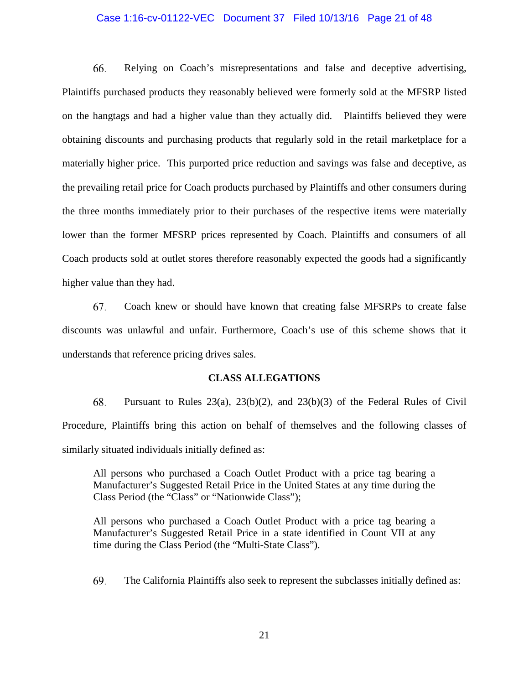#### Case 1:16-cv-01122-VEC Document 37 Filed 10/13/16 Page 21 of 48

66. Relying on Coach's misrepresentations and false and deceptive advertising, Plaintiffs purchased products they reasonably believed were formerly sold at the MFSRP listed on the hangtags and had a higher value than they actually did. Plaintiffs believed they were obtaining discounts and purchasing products that regularly sold in the retail marketplace for a materially higher price. This purported price reduction and savings was false and deceptive, as the prevailing retail price for Coach products purchased by Plaintiffs and other consumers during the three months immediately prior to their purchases of the respective items were materially lower than the former MFSRP prices represented by Coach. Plaintiffs and consumers of all Coach products sold at outlet stores therefore reasonably expected the goods had a significantly higher value than they had.

Coach knew or should have known that creating false MFSRPs to create false 67. discounts was unlawful and unfair. Furthermore, Coach's use of this scheme shows that it understands that reference pricing drives sales.

#### **CLASS ALLEGATIONS**

68. Pursuant to Rules  $23(a)$ ,  $23(b)(2)$ , and  $23(b)(3)$  of the Federal Rules of Civil Procedure, Plaintiffs bring this action on behalf of themselves and the following classes of similarly situated individuals initially defined as:

All persons who purchased a Coach Outlet Product with a price tag bearing a Manufacturer's Suggested Retail Price in the United States at any time during the Class Period (the "Class" or "Nationwide Class");

All persons who purchased a Coach Outlet Product with a price tag bearing a Manufacturer's Suggested Retail Price in a state identified in Count VII at any time during the Class Period (the "Multi-State Class").

69. The California Plaintiffs also seek to represent the subclasses initially defined as: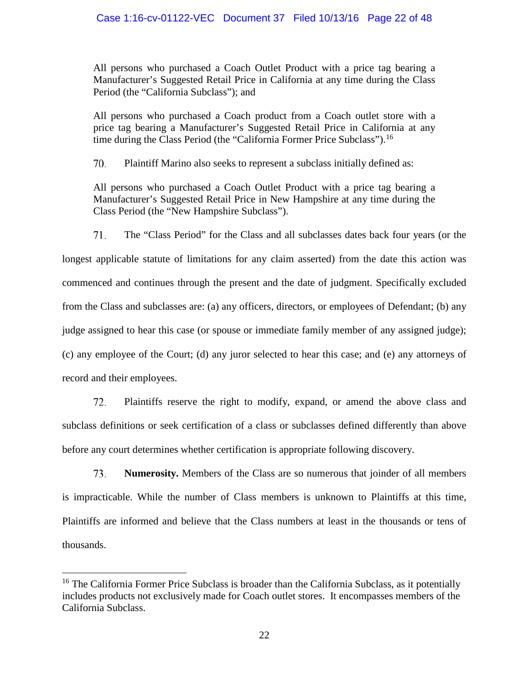All persons who purchased a Coach Outlet Product with a price tag bearing a Manufacturer's Suggested Retail Price in California at any time during the Class Period (the "California Subclass"); and

All persons who purchased a Coach product from a Coach outlet store with a price tag bearing a Manufacturer's Suggested Retail Price in California at any time during the Class Period (the "California Former Price Subclass").<sup>[16](#page-21-0)</sup>

70. Plaintiff Marino also seeks to represent a subclass initially defined as:

All persons who purchased a Coach Outlet Product with a price tag bearing a Manufacturer's Suggested Retail Price in New Hampshire at any time during the Class Period (the "New Hampshire Subclass").

71. The "Class Period" for the Class and all subclasses dates back four years (or the longest applicable statute of limitations for any claim asserted) from the date this action was commenced and continues through the present and the date of judgment. Specifically excluded from the Class and subclasses are: (a) any officers, directors, or employees of Defendant; (b) any judge assigned to hear this case (or spouse or immediate family member of any assigned judge); (c) any employee of the Court; (d) any juror selected to hear this case; and (e) any attorneys of record and their employees.

72. Plaintiffs reserve the right to modify, expand, or amend the above class and subclass definitions or seek certification of a class or subclasses defined differently than above before any court determines whether certification is appropriate following discovery.

73. **Numerosity.** Members of the Class are so numerous that joinder of all members is impracticable. While the number of Class members is unknown to Plaintiffs at this time, Plaintiffs are informed and believe that the Class numbers at least in the thousands or tens of thousands.

<span id="page-21-0"></span><sup>&</sup>lt;sup>16</sup> The California Former Price Subclass is broader than the California Subclass, as it potentially includes products not exclusively made for Coach outlet stores. It encompasses members of the California Subclass.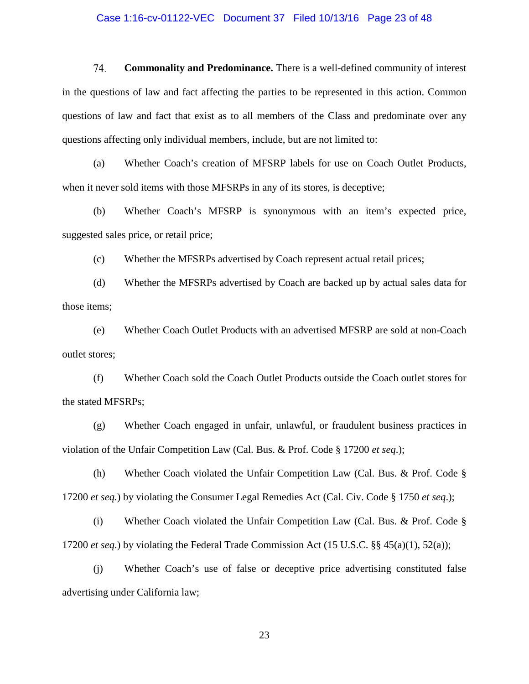#### Case 1:16-cv-01122-VEC Document 37 Filed 10/13/16 Page 23 of 48

74. **Commonality and Predominance.** There is a well-defined community of interest in the questions of law and fact affecting the parties to be represented in this action. Common questions of law and fact that exist as to all members of the Class and predominate over any questions affecting only individual members, include, but are not limited to:

(a) Whether Coach's creation of MFSRP labels for use on Coach Outlet Products, when it never sold items with those MFSRPs in any of its stores, is deceptive;

(b) Whether Coach's MFSRP is synonymous with an item's expected price, suggested sales price, or retail price;

(c) Whether the MFSRPs advertised by Coach represent actual retail prices;

(d) Whether the MFSRPs advertised by Coach are backed up by actual sales data for those items;

(e) Whether Coach Outlet Products with an advertised MFSRP are sold at non-Coach outlet stores;

(f) Whether Coach sold the Coach Outlet Products outside the Coach outlet stores for the stated MFSRPs;

(g) Whether Coach engaged in unfair, unlawful, or fraudulent business practices in violation of the Unfair Competition Law (Cal. Bus. & Prof. Code § 17200 *et seq*.);

(h) Whether Coach violated the Unfair Competition Law (Cal. Bus. & Prof. Code § 17200 *et seq.*) by violating the Consumer Legal Remedies Act (Cal. Civ. Code § 1750 *et seq*.);

(i) Whether Coach violated the Unfair Competition Law (Cal. Bus. & Prof. Code § 17200 *et seq*.) by violating the Federal Trade Commission Act (15 U.S.C. §§ 45(a)(1), 52(a));

(j) Whether Coach's use of false or deceptive price advertising constituted false advertising under California law;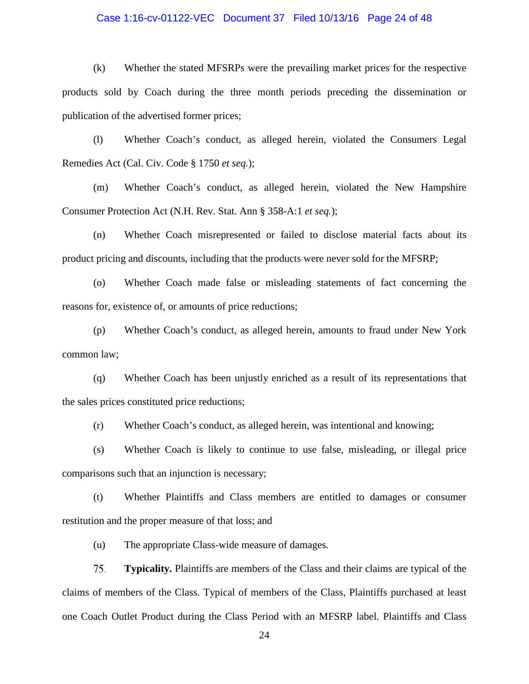#### Case 1:16-cv-01122-VEC Document 37 Filed 10/13/16 Page 24 of 48

(k) Whether the stated MFSRPs were the prevailing market prices for the respective products sold by Coach during the three month periods preceding the dissemination or publication of the advertised former prices;

(l) Whether Coach's conduct, as alleged herein, violated the Consumers Legal Remedies Act (Cal. Civ. Code § 1750 *et seq.*);

(m) Whether Coach's conduct, as alleged herein, violated the New Hampshire Consumer Protection Act (N.H. Rev. Stat. Ann § 358-A:1 *et seq.*);

(n) Whether Coach misrepresented or failed to disclose material facts about its product pricing and discounts, including that the products were never sold for the MFSRP;

(o) Whether Coach made false or misleading statements of fact concerning the reasons for, existence of, or amounts of price reductions;

(p) Whether Coach's conduct, as alleged herein, amounts to fraud under New York common law;

(q) Whether Coach has been unjustly enriched as a result of its representations that the sales prices constituted price reductions;

(r) Whether Coach's conduct, as alleged herein, was intentional and knowing;

(s) Whether Coach is likely to continue to use false, misleading, or illegal price comparisons such that an injunction is necessary;

(t) Whether Plaintiffs and Class members are entitled to damages or consumer restitution and the proper measure of that loss; and

(u) The appropriate Class-wide measure of damages.

75. **Typicality.** Plaintiffs are members of the Class and their claims are typical of the claims of members of the Class. Typical of members of the Class, Plaintiffs purchased at least one Coach Outlet Product during the Class Period with an MFSRP label. Plaintiffs and Class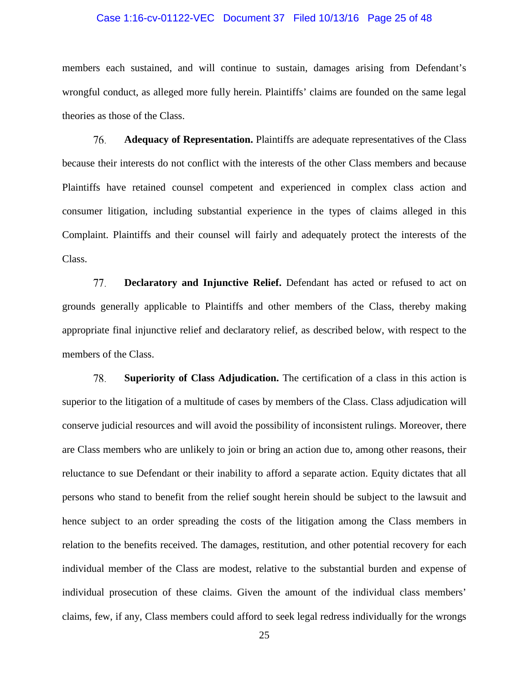#### Case 1:16-cv-01122-VEC Document 37 Filed 10/13/16 Page 25 of 48

members each sustained, and will continue to sustain, damages arising from Defendant's wrongful conduct, as alleged more fully herein. Plaintiffs' claims are founded on the same legal theories as those of the Class.

76. **Adequacy of Representation.** Plaintiffs are adequate representatives of the Class because their interests do not conflict with the interests of the other Class members and because Plaintiffs have retained counsel competent and experienced in complex class action and consumer litigation, including substantial experience in the types of claims alleged in this Complaint. Plaintiffs and their counsel will fairly and adequately protect the interests of the Class.

77. **Declaratory and Injunctive Relief.** Defendant has acted or refused to act on grounds generally applicable to Plaintiffs and other members of the Class, thereby making appropriate final injunctive relief and declaratory relief, as described below, with respect to the members of the Class.

78. **Superiority of Class Adjudication.** The certification of a class in this action is superior to the litigation of a multitude of cases by members of the Class. Class adjudication will conserve judicial resources and will avoid the possibility of inconsistent rulings. Moreover, there are Class members who are unlikely to join or bring an action due to, among other reasons, their reluctance to sue Defendant or their inability to afford a separate action. Equity dictates that all persons who stand to benefit from the relief sought herein should be subject to the lawsuit and hence subject to an order spreading the costs of the litigation among the Class members in relation to the benefits received. The damages, restitution, and other potential recovery for each individual member of the Class are modest, relative to the substantial burden and expense of individual prosecution of these claims. Given the amount of the individual class members' claims, few, if any, Class members could afford to seek legal redress individually for the wrongs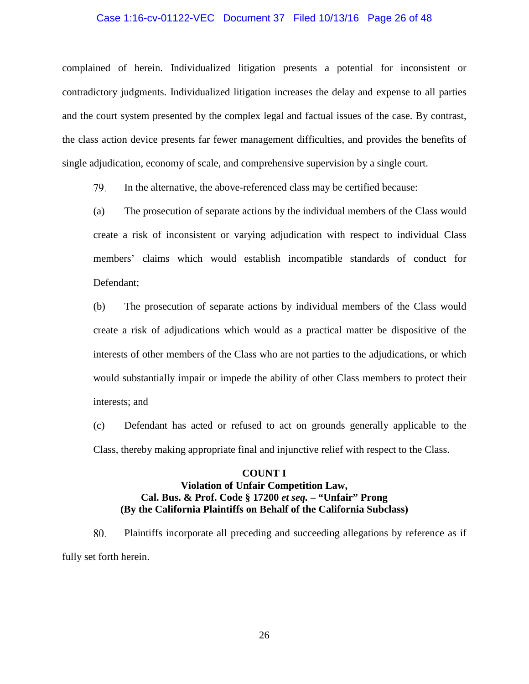#### Case 1:16-cv-01122-VEC Document 37 Filed 10/13/16 Page 26 of 48

complained of herein. Individualized litigation presents a potential for inconsistent or contradictory judgments. Individualized litigation increases the delay and expense to all parties and the court system presented by the complex legal and factual issues of the case. By contrast, the class action device presents far fewer management difficulties, and provides the benefits of single adjudication, economy of scale, and comprehensive supervision by a single court.

79. In the alternative, the above-referenced class may be certified because:

(a) The prosecution of separate actions by the individual members of the Class would create a risk of inconsistent or varying adjudication with respect to individual Class members' claims which would establish incompatible standards of conduct for Defendant;

(b) The prosecution of separate actions by individual members of the Class would create a risk of adjudications which would as a practical matter be dispositive of the interests of other members of the Class who are not parties to the adjudications, or which would substantially impair or impede the ability of other Class members to protect their interests; and

(c) Defendant has acted or refused to act on grounds generally applicable to the Class, thereby making appropriate final and injunctive relief with respect to the Class.

## **COUNT I Violation of Unfair Competition Law, Cal. Bus. & Prof. Code § 17200** *et seq.* **– "Unfair" Prong (By the California Plaintiffs on Behalf of the California Subclass)**

80. Plaintiffs incorporate all preceding and succeeding allegations by reference as if fully set forth herein.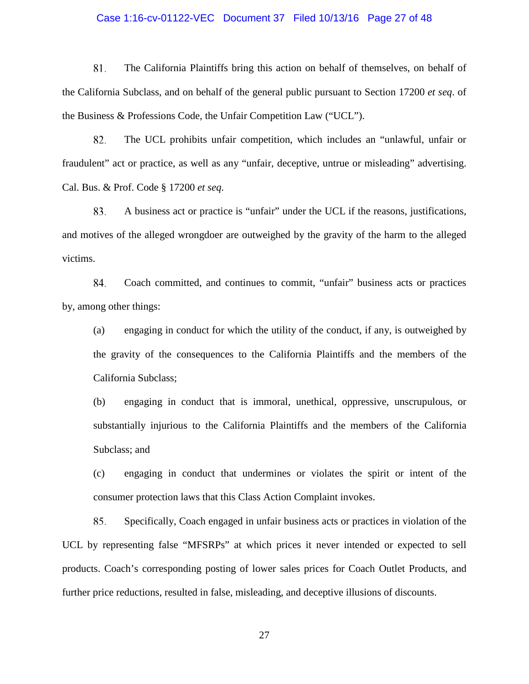#### Case 1:16-cv-01122-VEC Document 37 Filed 10/13/16 Page 27 of 48

81. The California Plaintiffs bring this action on behalf of themselves, on behalf of the California Subclass, and on behalf of the general public pursuant to Section 17200 *et seq*. of the Business & Professions Code, the Unfair Competition Law ("UCL").

82. The UCL prohibits unfair competition, which includes an "unlawful, unfair or fraudulent" act or practice, as well as any "unfair, deceptive, untrue or misleading" advertising. Cal. Bus. & Prof. Code § 17200 *et seq*.

83. A business act or practice is "unfair" under the UCL if the reasons, justifications, and motives of the alleged wrongdoer are outweighed by the gravity of the harm to the alleged victims.

84. Coach committed, and continues to commit, "unfair" business acts or practices by, among other things:

(a) engaging in conduct for which the utility of the conduct, if any, is outweighed by the gravity of the consequences to the California Plaintiffs and the members of the California Subclass;

(b) engaging in conduct that is immoral, unethical, oppressive, unscrupulous, or substantially injurious to the California Plaintiffs and the members of the California Subclass; and

(c) engaging in conduct that undermines or violates the spirit or intent of the consumer protection laws that this Class Action Complaint invokes.

85. Specifically, Coach engaged in unfair business acts or practices in violation of the UCL by representing false "MFSRPs" at which prices it never intended or expected to sell products. Coach's corresponding posting of lower sales prices for Coach Outlet Products, and further price reductions, resulted in false, misleading, and deceptive illusions of discounts.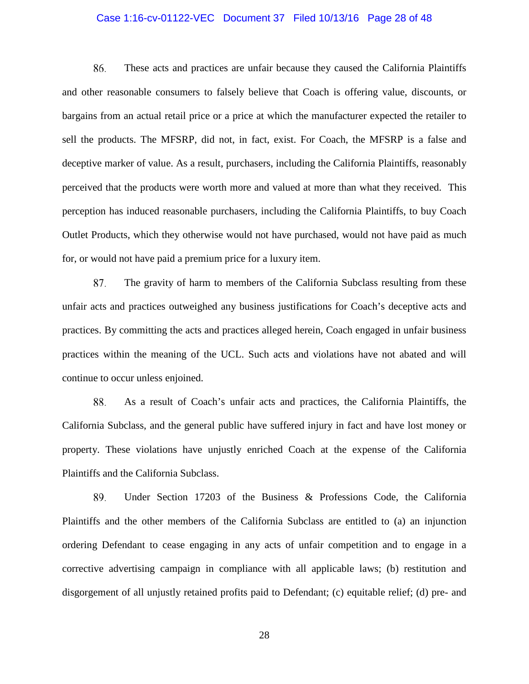#### Case 1:16-cv-01122-VEC Document 37 Filed 10/13/16 Page 28 of 48

86. These acts and practices are unfair because they caused the California Plaintiffs and other reasonable consumers to falsely believe that Coach is offering value, discounts, or bargains from an actual retail price or a price at which the manufacturer expected the retailer to sell the products. The MFSRP, did not, in fact, exist. For Coach, the MFSRP is a false and deceptive marker of value. As a result, purchasers, including the California Plaintiffs, reasonably perceived that the products were worth more and valued at more than what they received. This perception has induced reasonable purchasers, including the California Plaintiffs, to buy Coach Outlet Products, which they otherwise would not have purchased, would not have paid as much for, or would not have paid a premium price for a luxury item.

87. The gravity of harm to members of the California Subclass resulting from these unfair acts and practices outweighed any business justifications for Coach's deceptive acts and practices. By committing the acts and practices alleged herein, Coach engaged in unfair business practices within the meaning of the UCL. Such acts and violations have not abated and will continue to occur unless enjoined.

88. As a result of Coach's unfair acts and practices, the California Plaintiffs, the California Subclass, and the general public have suffered injury in fact and have lost money or property. These violations have unjustly enriched Coach at the expense of the California Plaintiffs and the California Subclass.

89. Under Section 17203 of the Business & Professions Code, the California Plaintiffs and the other members of the California Subclass are entitled to (a) an injunction ordering Defendant to cease engaging in any acts of unfair competition and to engage in a corrective advertising campaign in compliance with all applicable laws; (b) restitution and disgorgement of all unjustly retained profits paid to Defendant; (c) equitable relief; (d) pre- and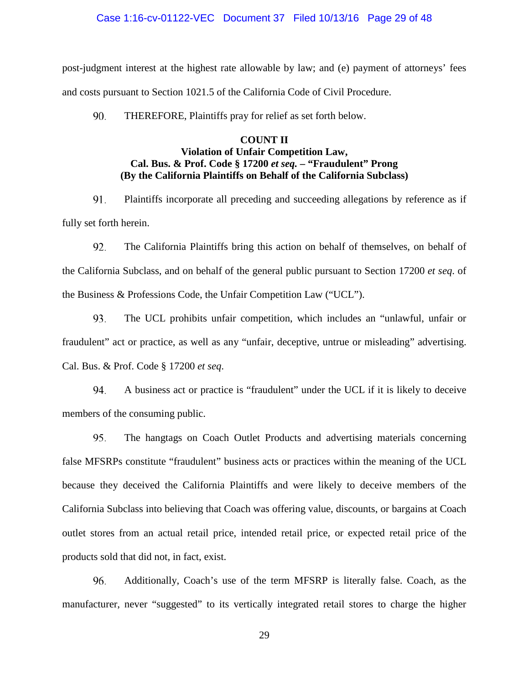#### Case 1:16-cv-01122-VEC Document 37 Filed 10/13/16 Page 29 of 48

post-judgment interest at the highest rate allowable by law; and (e) payment of attorneys' fees and costs pursuant to Section 1021.5 of the California Code of Civil Procedure.

90. THEREFORE, Plaintiffs pray for relief as set forth below.

## **COUNT II Violation of Unfair Competition Law, Cal. Bus. & Prof. Code § 17200** *et seq.* **– "Fraudulent" Prong (By the California Plaintiffs on Behalf of the California Subclass)**

91. Plaintiffs incorporate all preceding and succeeding allegations by reference as if fully set forth herein.

92. The California Plaintiffs bring this action on behalf of themselves, on behalf of the California Subclass, and on behalf of the general public pursuant to Section 17200 *et seq*. of the Business & Professions Code, the Unfair Competition Law ("UCL").

93. The UCL prohibits unfair competition, which includes an "unlawful, unfair or fraudulent" act or practice, as well as any "unfair, deceptive, untrue or misleading" advertising. Cal. Bus. & Prof. Code § 17200 *et seq*.

94. A business act or practice is "fraudulent" under the UCL if it is likely to deceive members of the consuming public.

95. The hangtags on Coach Outlet Products and advertising materials concerning false MFSRPs constitute "fraudulent" business acts or practices within the meaning of the UCL because they deceived the California Plaintiffs and were likely to deceive members of the California Subclass into believing that Coach was offering value, discounts, or bargains at Coach outlet stores from an actual retail price, intended retail price, or expected retail price of the products sold that did not, in fact, exist.

96. Additionally, Coach's use of the term MFSRP is literally false. Coach, as the manufacturer, never "suggested" to its vertically integrated retail stores to charge the higher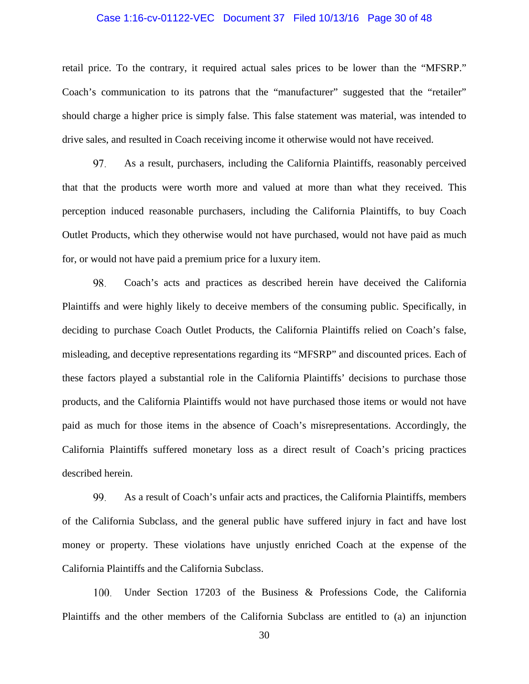#### Case 1:16-cv-01122-VEC Document 37 Filed 10/13/16 Page 30 of 48

retail price. To the contrary, it required actual sales prices to be lower than the "MFSRP." Coach's communication to its patrons that the "manufacturer" suggested that the "retailer" should charge a higher price is simply false. This false statement was material, was intended to drive sales, and resulted in Coach receiving income it otherwise would not have received.

97. As a result, purchasers, including the California Plaintiffs, reasonably perceived that that the products were worth more and valued at more than what they received. This perception induced reasonable purchasers, including the California Plaintiffs, to buy Coach Outlet Products, which they otherwise would not have purchased, would not have paid as much for, or would not have paid a premium price for a luxury item.

98. Coach's acts and practices as described herein have deceived the California Plaintiffs and were highly likely to deceive members of the consuming public. Specifically, in deciding to purchase Coach Outlet Products, the California Plaintiffs relied on Coach's false, misleading, and deceptive representations regarding its "MFSRP" and discounted prices. Each of these factors played a substantial role in the California Plaintiffs' decisions to purchase those products, and the California Plaintiffs would not have purchased those items or would not have paid as much for those items in the absence of Coach's misrepresentations. Accordingly, the California Plaintiffs suffered monetary loss as a direct result of Coach's pricing practices described herein.

99. As a result of Coach's unfair acts and practices, the California Plaintiffs, members of the California Subclass, and the general public have suffered injury in fact and have lost money or property. These violations have unjustly enriched Coach at the expense of the California Plaintiffs and the California Subclass.

Under Section 17203 of the Business & Professions Code, the California 100. Plaintiffs and the other members of the California Subclass are entitled to (a) an injunction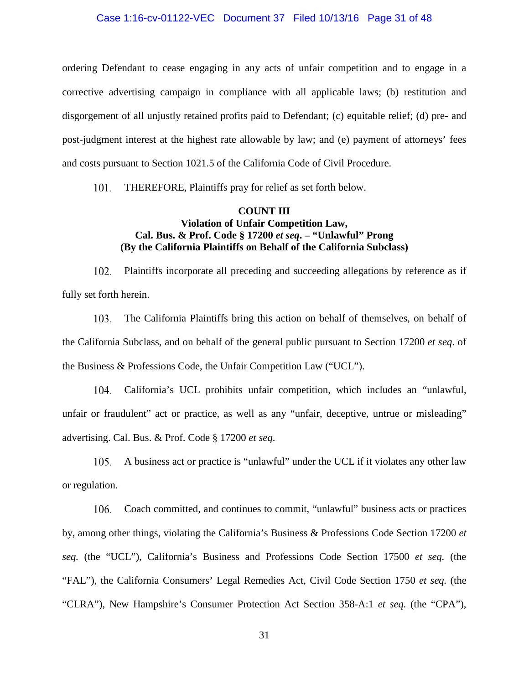#### Case 1:16-cv-01122-VEC Document 37 Filed 10/13/16 Page 31 of 48

ordering Defendant to cease engaging in any acts of unfair competition and to engage in a corrective advertising campaign in compliance with all applicable laws; (b) restitution and disgorgement of all unjustly retained profits paid to Defendant; (c) equitable relief; (d) pre- and post-judgment interest at the highest rate allowable by law; and (e) payment of attorneys' fees and costs pursuant to Section 1021.5 of the California Code of Civil Procedure.

101. THEREFORE, Plaintiffs pray for relief as set forth below.

## **COUNT III Violation of Unfair Competition Law, Cal. Bus. & Prof. Code § 17200** *et seq***. – "Unlawful" Prong (By the California Plaintiffs on Behalf of the California Subclass)**

Plaintiffs incorporate all preceding and succeeding allegations by reference as if 102. fully set forth herein.

103. The California Plaintiffs bring this action on behalf of themselves, on behalf of the California Subclass, and on behalf of the general public pursuant to Section 17200 *et seq*. of the Business & Professions Code, the Unfair Competition Law ("UCL").

104. California's UCL prohibits unfair competition, which includes an "unlawful, unfair or fraudulent" act or practice, as well as any "unfair, deceptive, untrue or misleading" advertising. Cal. Bus. & Prof. Code § 17200 *et seq*.

105. A business act or practice is "unlawful" under the UCL if it violates any other law or regulation.

106. Coach committed, and continues to commit, "unlawful" business acts or practices by, among other things, violating the California's Business & Professions Code Section 17200 *et seq.* (the "UCL"), California's Business and Professions Code Section 17500 *et seq.* (the "FAL"), the California Consumers' Legal Remedies Act, Civil Code Section 1750 *et seq.* (the "CLRA"), New Hampshire's Consumer Protection Act Section 358-A:1 *et seq.* (the "CPA"),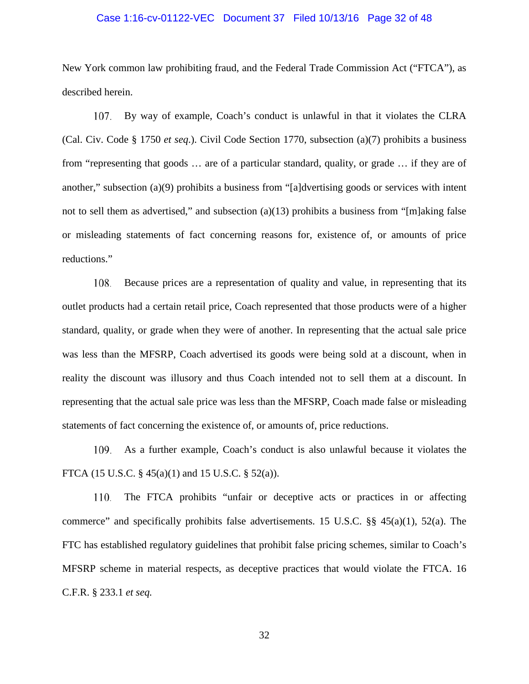#### Case 1:16-cv-01122-VEC Document 37 Filed 10/13/16 Page 32 of 48

New York common law prohibiting fraud, and the Federal Trade Commission Act ("FTCA"), as described herein.

107. By way of example, Coach's conduct is unlawful in that it violates the CLRA (Cal. Civ. Code § 1750 *et seq*.). Civil Code Section 1770, subsection (a)(7) prohibits a business from "representing that goods … are of a particular standard, quality, or grade … if they are of another," subsection (a)(9) prohibits a business from "[a]dvertising goods or services with intent not to sell them as advertised," and subsection (a)(13) prohibits a business from "[m]aking false or misleading statements of fact concerning reasons for, existence of, or amounts of price reductions."

108. Because prices are a representation of quality and value, in representing that its outlet products had a certain retail price, Coach represented that those products were of a higher standard, quality, or grade when they were of another. In representing that the actual sale price was less than the MFSRP, Coach advertised its goods were being sold at a discount, when in reality the discount was illusory and thus Coach intended not to sell them at a discount. In representing that the actual sale price was less than the MFSRP, Coach made false or misleading statements of fact concerning the existence of, or amounts of, price reductions.

As a further example, Coach's conduct is also unlawful because it violates the FTCA (15 U.S.C. § 45(a)(1) and 15 U.S.C. § 52(a)).

The FTCA prohibits "unfair or deceptive acts or practices in or affecting 110. commerce" and specifically prohibits false advertisements. 15 U.S.C. §§ 45(a)(1), 52(a). The FTC has established regulatory guidelines that prohibit false pricing schemes, similar to Coach's MFSRP scheme in material respects, as deceptive practices that would violate the FTCA. 16 C.F.R. § 233.1 *et seq.*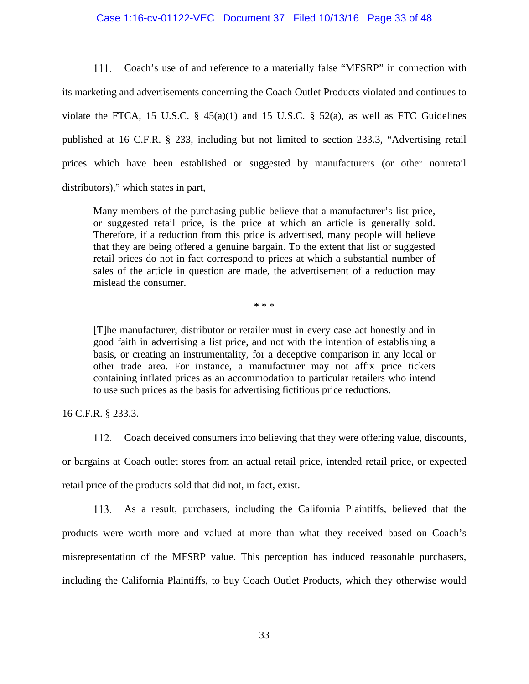#### Case 1:16-cv-01122-VEC Document 37 Filed 10/13/16 Page 33 of 48

Coach's use of and reference to a materially false "MFSRP" in connection with  $111.$ its marketing and advertisements concerning the Coach Outlet Products violated and continues to violate the FTCA, 15 U.S.C.  $\S$  45(a)(1) and 15 U.S.C.  $\S$  52(a), as well as FTC Guidelines published at 16 C.F.R. § 233, including but not limited to section 233.3, "Advertising retail prices which have been established or suggested by manufacturers (or other nonretail distributors)," which states in part,

Many members of the purchasing public believe that a manufacturer's list price, or suggested retail price, is the price at which an article is generally sold. Therefore, if a reduction from this price is advertised, many people will believe that they are being offered a genuine bargain. To the extent that list or suggested retail prices do not in fact correspond to prices at which a substantial number of sales of the article in question are made, the advertisement of a reduction may mislead the consumer.

\* \* \*

[T]he manufacturer, distributor or retailer must in every case act honestly and in good faith in advertising a list price, and not with the intention of establishing a basis, or creating an instrumentality, for a deceptive comparison in any local or other trade area. For instance, a manufacturer may not affix price tickets containing inflated prices as an accommodation to particular retailers who intend to use such prices as the basis for advertising fictitious price reductions.

16 C.F.R. § 233.3.

Coach deceived consumers into believing that they were offering value, discounts,

or bargains at Coach outlet stores from an actual retail price, intended retail price, or expected retail price of the products sold that did not, in fact, exist.

As a result, purchasers, including the California Plaintiffs, believed that the products were worth more and valued at more than what they received based on Coach's misrepresentation of the MFSRP value. This perception has induced reasonable purchasers, including the California Plaintiffs, to buy Coach Outlet Products, which they otherwise would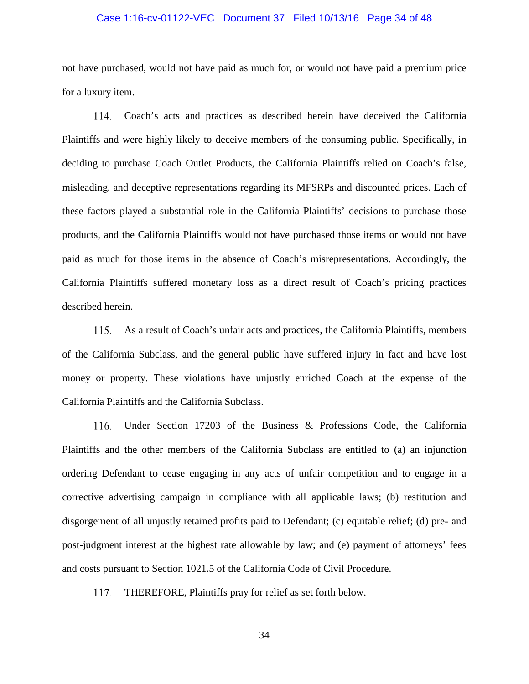#### Case 1:16-cv-01122-VEC Document 37 Filed 10/13/16 Page 34 of 48

not have purchased, would not have paid as much for, or would not have paid a premium price for a luxury item.

114. Coach's acts and practices as described herein have deceived the California Plaintiffs and were highly likely to deceive members of the consuming public. Specifically, in deciding to purchase Coach Outlet Products, the California Plaintiffs relied on Coach's false, misleading, and deceptive representations regarding its MFSRPs and discounted prices. Each of these factors played a substantial role in the California Plaintiffs' decisions to purchase those products, and the California Plaintiffs would not have purchased those items or would not have paid as much for those items in the absence of Coach's misrepresentations. Accordingly, the California Plaintiffs suffered monetary loss as a direct result of Coach's pricing practices described herein.

115. As a result of Coach's unfair acts and practices, the California Plaintiffs, members of the California Subclass, and the general public have suffered injury in fact and have lost money or property. These violations have unjustly enriched Coach at the expense of the California Plaintiffs and the California Subclass.

Under Section 17203 of the Business & Professions Code, the California 116. Plaintiffs and the other members of the California Subclass are entitled to (a) an injunction ordering Defendant to cease engaging in any acts of unfair competition and to engage in a corrective advertising campaign in compliance with all applicable laws; (b) restitution and disgorgement of all unjustly retained profits paid to Defendant; (c) equitable relief; (d) pre- and post-judgment interest at the highest rate allowable by law; and (e) payment of attorneys' fees and costs pursuant to Section 1021.5 of the California Code of Civil Procedure.

117. THEREFORE, Plaintiffs pray for relief as set forth below.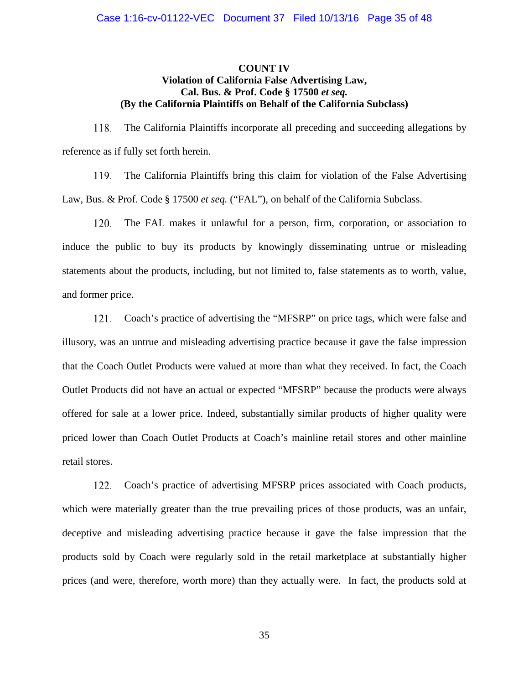## **COUNT IV Violation of California False Advertising Law, Cal. Bus. & Prof. Code § 17500** *et seq.* **(By the California Plaintiffs on Behalf of the California Subclass)**

The California Plaintiffs incorporate all preceding and succeeding allegations by 118. reference as if fully set forth herein.

119. The California Plaintiffs bring this claim for violation of the False Advertising Law, Bus. & Prof. Code § 17500 *et seq.* ("FAL"), on behalf of the California Subclass.

120. The FAL makes it unlawful for a person, firm, corporation, or association to induce the public to buy its products by knowingly disseminating untrue or misleading statements about the products, including, but not limited to, false statements as to worth, value, and former price.

121. Coach's practice of advertising the "MFSRP" on price tags, which were false and illusory, was an untrue and misleading advertising practice because it gave the false impression that the Coach Outlet Products were valued at more than what they received. In fact, the Coach Outlet Products did not have an actual or expected "MFSRP" because the products were always offered for sale at a lower price. Indeed, substantially similar products of higher quality were priced lower than Coach Outlet Products at Coach's mainline retail stores and other mainline retail stores.

122. Coach's practice of advertising MFSRP prices associated with Coach products, which were materially greater than the true prevailing prices of those products, was an unfair, deceptive and misleading advertising practice because it gave the false impression that the products sold by Coach were regularly sold in the retail marketplace at substantially higher prices (and were, therefore, worth more) than they actually were. In fact, the products sold at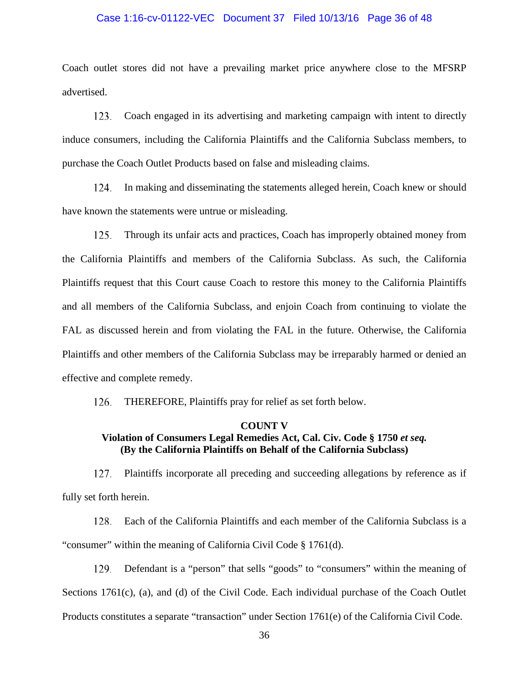#### Case 1:16-cv-01122-VEC Document 37 Filed 10/13/16 Page 36 of 48

Coach outlet stores did not have a prevailing market price anywhere close to the MFSRP advertised.

123. Coach engaged in its advertising and marketing campaign with intent to directly induce consumers, including the California Plaintiffs and the California Subclass members, to purchase the Coach Outlet Products based on false and misleading claims.

124. In making and disseminating the statements alleged herein, Coach knew or should have known the statements were untrue or misleading.

 $125.$ Through its unfair acts and practices, Coach has improperly obtained money from the California Plaintiffs and members of the California Subclass. As such, the California Plaintiffs request that this Court cause Coach to restore this money to the California Plaintiffs and all members of the California Subclass, and enjoin Coach from continuing to violate the FAL as discussed herein and from violating the FAL in the future. Otherwise, the California Plaintiffs and other members of the California Subclass may be irreparably harmed or denied an effective and complete remedy.

126. THEREFORE, Plaintiffs pray for relief as set forth below.

## **COUNT V Violation of Consumers Legal Remedies Act, Cal. Civ. Code § 1750** *et seq.* **(By the California Plaintiffs on Behalf of the California Subclass)**

127. Plaintiffs incorporate all preceding and succeeding allegations by reference as if fully set forth herein.

128. Each of the California Plaintiffs and each member of the California Subclass is a "consumer" within the meaning of California Civil Code § 1761(d).

Defendant is a "person" that sells "goods" to "consumers" within the meaning of 129. Sections 1761(c), (a), and (d) of the Civil Code. Each individual purchase of the Coach Outlet Products constitutes a separate "transaction" under Section 1761(e) of the California Civil Code.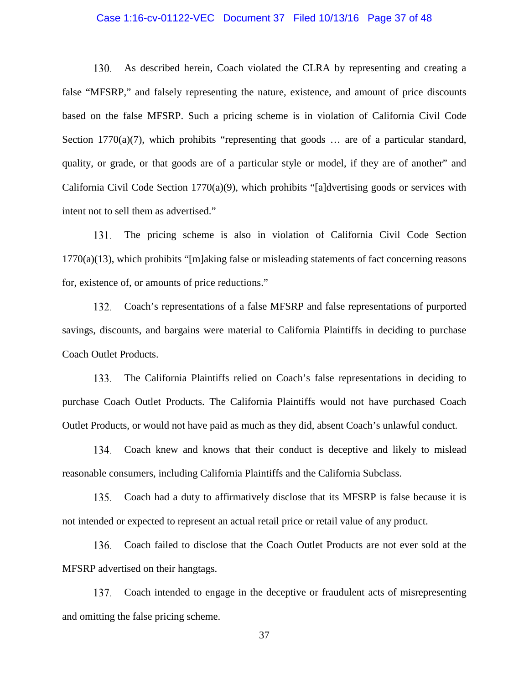#### Case 1:16-cv-01122-VEC Document 37 Filed 10/13/16 Page 37 of 48

130. As described herein, Coach violated the CLRA by representing and creating a false "MFSRP," and falsely representing the nature, existence, and amount of price discounts based on the false MFSRP. Such a pricing scheme is in violation of California Civil Code Section 1770(a)(7), which prohibits "representing that goods  $\ldots$  are of a particular standard, quality, or grade, or that goods are of a particular style or model, if they are of another" and California Civil Code Section 1770(a)(9), which prohibits "[a]dvertising goods or services with intent not to sell them as advertised."

The pricing scheme is also in violation of California Civil Code Section 131.  $1770(a)(13)$ , which prohibits "[m]aking false or misleading statements of fact concerning reasons for, existence of, or amounts of price reductions."

Coach's representations of a false MFSRP and false representations of purported 132. savings, discounts, and bargains were material to California Plaintiffs in deciding to purchase Coach Outlet Products.

133. The California Plaintiffs relied on Coach's false representations in deciding to purchase Coach Outlet Products. The California Plaintiffs would not have purchased Coach Outlet Products, or would not have paid as much as they did, absent Coach's unlawful conduct.

134. Coach knew and knows that their conduct is deceptive and likely to mislead reasonable consumers, including California Plaintiffs and the California Subclass.

135. Coach had a duty to affirmatively disclose that its MFSRP is false because it is not intended or expected to represent an actual retail price or retail value of any product.

Coach failed to disclose that the Coach Outlet Products are not ever sold at the 136. MFSRP advertised on their hangtags.

137. Coach intended to engage in the deceptive or fraudulent acts of misrepresenting and omitting the false pricing scheme.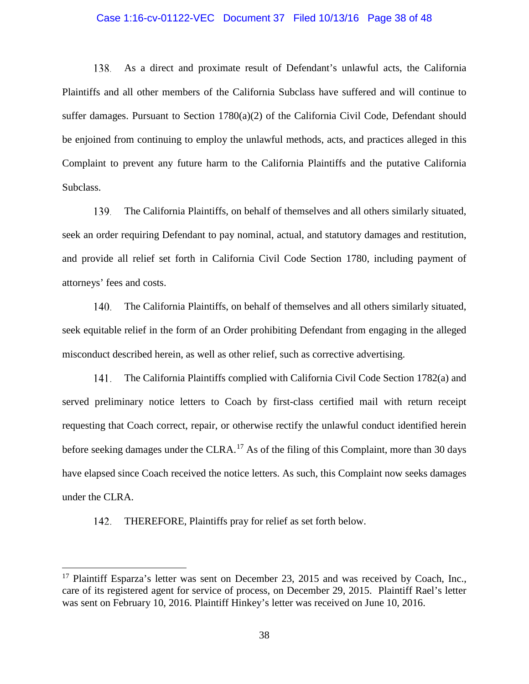#### Case 1:16-cv-01122-VEC Document 37 Filed 10/13/16 Page 38 of 48

As a direct and proximate result of Defendant's unlawful acts, the California 138. Plaintiffs and all other members of the California Subclass have suffered and will continue to suffer damages. Pursuant to Section 1780(a)(2) of the California Civil Code, Defendant should be enjoined from continuing to employ the unlawful methods, acts, and practices alleged in this Complaint to prevent any future harm to the California Plaintiffs and the putative California Subclass.

139. The California Plaintiffs, on behalf of themselves and all others similarly situated, seek an order requiring Defendant to pay nominal, actual, and statutory damages and restitution, and provide all relief set forth in California Civil Code Section 1780, including payment of attorneys' fees and costs.

The California Plaintiffs, on behalf of themselves and all others similarly situated,  $140.$ seek equitable relief in the form of an Order prohibiting Defendant from engaging in the alleged misconduct described herein, as well as other relief, such as corrective advertising.

141. The California Plaintiffs complied with California Civil Code Section 1782(a) and served preliminary notice letters to Coach by first-class certified mail with return receipt requesting that Coach correct, repair, or otherwise rectify the unlawful conduct identified herein before seeking damages under the CLRA.<sup>[17](#page-37-0)</sup> As of the filing of this Complaint, more than 30 days have elapsed since Coach received the notice letters. As such, this Complaint now seeks damages under the CLRA.

142. THEREFORE, Plaintiffs pray for relief as set forth below.

<span id="page-37-0"></span> $17$  Plaintiff Esparza's letter was sent on December 23, 2015 and was received by Coach, Inc., care of its registered agent for service of process, on December 29, 2015. Plaintiff Rael's letter was sent on February 10, 2016. Plaintiff Hinkey's letter was received on June 10, 2016.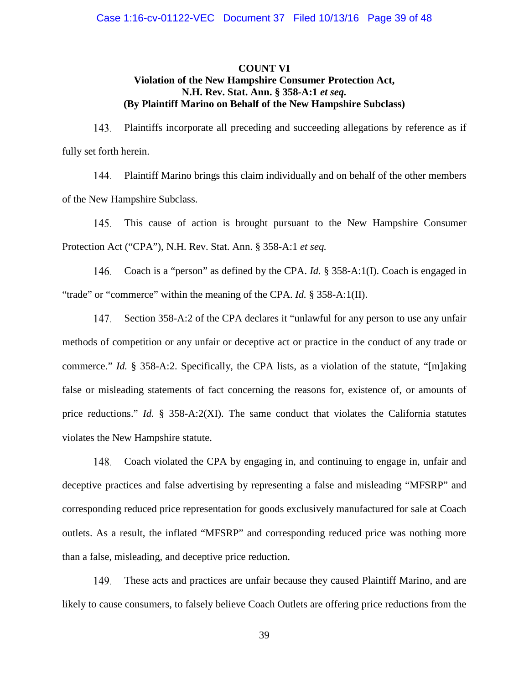## **COUNT VI Violation of the New Hampshire Consumer Protection Act, N.H. Rev. Stat. Ann. § 358-A:1** *et seq.* **(By Plaintiff Marino on Behalf of the New Hampshire Subclass)**

143. Plaintiffs incorporate all preceding and succeeding allegations by reference as if fully set forth herein.

144. Plaintiff Marino brings this claim individually and on behalf of the other members of the New Hampshire Subclass.

145. This cause of action is brought pursuant to the New Hampshire Consumer Protection Act ("CPA"), N.H. Rev. Stat. Ann. § 358-A:1 *et seq.*

Coach is a "person" as defined by the CPA. *Id.* § 358-A:1(I). Coach is engaged in 146. "trade" or "commerce" within the meaning of the CPA. *Id.* § 358-A:1(II).

147. Section 358-A:2 of the CPA declares it "unlawful for any person to use any unfair methods of competition or any unfair or deceptive act or practice in the conduct of any trade or commerce." *Id.* § 358-A:2. Specifically, the CPA lists, as a violation of the statute, "[m]aking false or misleading statements of fact concerning the reasons for, existence of, or amounts of price reductions." *Id.* § 358-A:2(XI). The same conduct that violates the California statutes violates the New Hampshire statute.

Coach violated the CPA by engaging in, and continuing to engage in, unfair and 148. deceptive practices and false advertising by representing a false and misleading "MFSRP" and corresponding reduced price representation for goods exclusively manufactured for sale at Coach outlets. As a result, the inflated "MFSRP" and corresponding reduced price was nothing more than a false, misleading, and deceptive price reduction.

149. These acts and practices are unfair because they caused Plaintiff Marino, and are likely to cause consumers, to falsely believe Coach Outlets are offering price reductions from the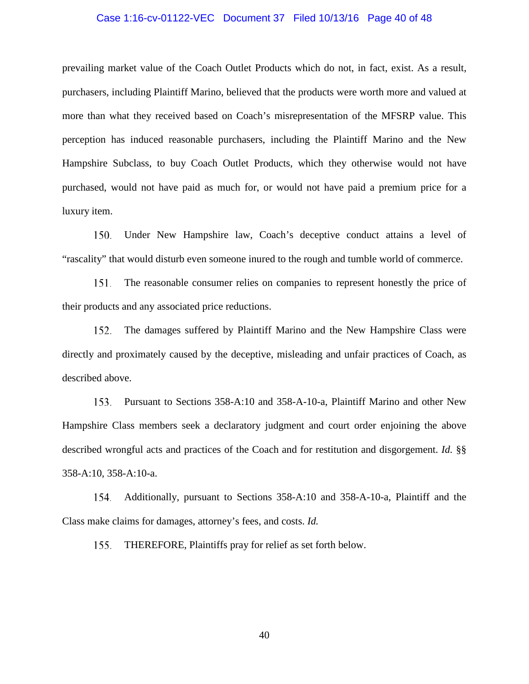#### Case 1:16-cv-01122-VEC Document 37 Filed 10/13/16 Page 40 of 48

prevailing market value of the Coach Outlet Products which do not, in fact, exist. As a result, purchasers, including Plaintiff Marino, believed that the products were worth more and valued at more than what they received based on Coach's misrepresentation of the MFSRP value. This perception has induced reasonable purchasers, including the Plaintiff Marino and the New Hampshire Subclass, to buy Coach Outlet Products, which they otherwise would not have purchased, would not have paid as much for, or would not have paid a premium price for a luxury item.

150. Under New Hampshire law, Coach's deceptive conduct attains a level of "rascality" that would disturb even someone inured to the rough and tumble world of commerce.

151. The reasonable consumer relies on companies to represent honestly the price of their products and any associated price reductions.

152. The damages suffered by Plaintiff Marino and the New Hampshire Class were directly and proximately caused by the deceptive, misleading and unfair practices of Coach, as described above.

153. Pursuant to Sections 358-A:10 and 358-A-10-a, Plaintiff Marino and other New Hampshire Class members seek a declaratory judgment and court order enjoining the above described wrongful acts and practices of the Coach and for restitution and disgorgement. *Id.* §§ 358-A:10, 358-A:10-a.

154. Additionally, pursuant to Sections 358-A:10 and 358-A-10-a, Plaintiff and the Class make claims for damages, attorney's fees, and costs. *Id.*

THEREFORE, Plaintiffs pray for relief as set forth below. 155.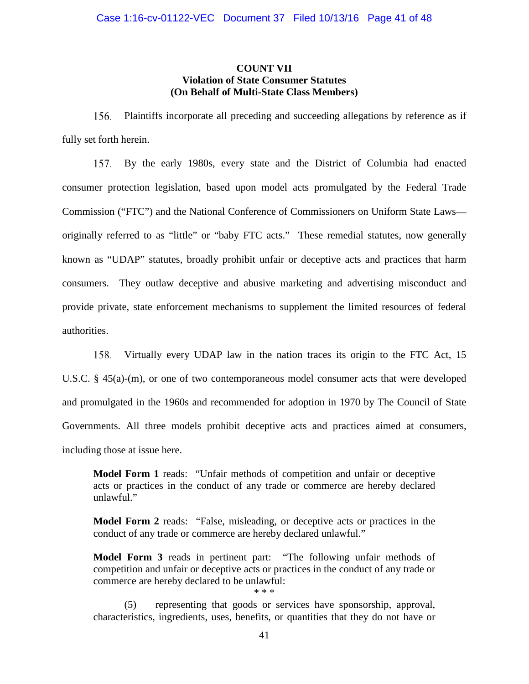## **COUNT VII Violation of State Consumer Statutes (On Behalf of Multi-State Class Members)**

156. Plaintiffs incorporate all preceding and succeeding allegations by reference as if fully set forth herein.

157. By the early 1980s, every state and the District of Columbia had enacted consumer protection legislation, based upon model acts promulgated by the Federal Trade Commission ("FTC") and the National Conference of Commissioners on Uniform State Laws originally referred to as "little" or "baby FTC acts." These remedial statutes, now generally known as "UDAP" statutes, broadly prohibit unfair or deceptive acts and practices that harm consumers. They outlaw deceptive and abusive marketing and advertising misconduct and provide private, state enforcement mechanisms to supplement the limited resources of federal authorities.

Virtually every UDAP law in the nation traces its origin to the FTC Act, 15 158. U.S.C. § 45(a)-(m), or one of two contemporaneous model consumer acts that were developed and promulgated in the 1960s and recommended for adoption in 1970 by The Council of State Governments. All three models prohibit deceptive acts and practices aimed at consumers, including those at issue here.

**Model Form 1** reads: "Unfair methods of competition and unfair or deceptive acts or practices in the conduct of any trade or commerce are hereby declared unlawful."

**Model Form 2** reads: "False, misleading, or deceptive acts or practices in the conduct of any trade or commerce are hereby declared unlawful."

**Model Form 3** reads in pertinent part: "The following unfair methods of competition and unfair or deceptive acts or practices in the conduct of any trade or commerce are hereby declared to be unlawful:

(5) representing that goods or services have sponsorship, approval, characteristics, ingredients, uses, benefits, or quantities that they do not have or

\* \* \*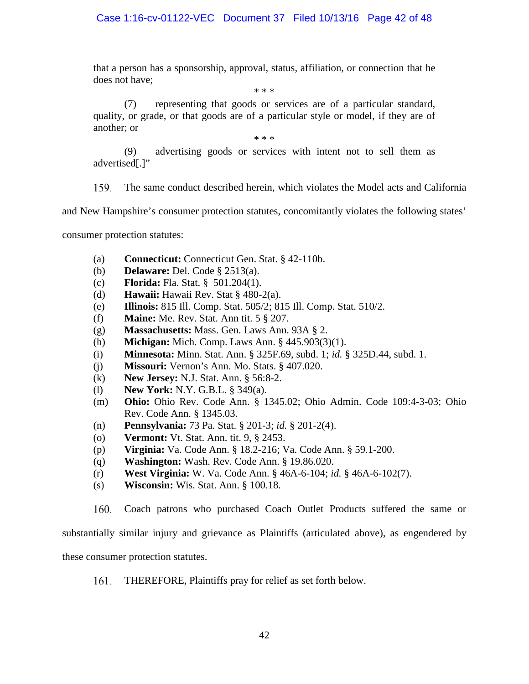that a person has a sponsorship, approval, status, affiliation, or connection that he does not have;

\* \* \*

(7) representing that goods or services are of a particular standard, quality, or grade, or that goods are of a particular style or model, if they are of another; or

\* \* \*

(9) advertising goods or services with intent not to sell them as advertised[.]"

159. The same conduct described herein, which violates the Model acts and California

and New Hampshire's consumer protection statutes, concomitantly violates the following states'

consumer protection statutes:

- (a) **Connecticut:** Connecticut Gen. Stat. § 42-110b.
- (b) **Delaware:** Del. Code § 2513(a).
- (c) **Florida:** Fla. Stat. § 501.204(1).
- (d) **Hawaii:** Hawaii Rev. Stat § 480-2(a).
- (e) **Illinois:** 815 Ill. Comp. Stat. 505/2; 815 Ill. Comp. Stat. 510/2.
- (f) **Maine:** Me. Rev. Stat. Ann tit. 5 § 207.
- (g) **Massachusetts:** Mass. Gen. Laws Ann. 93A § 2.
- (h) **Michigan:** Mich. Comp. Laws Ann. § 445.903(3)(1).
- (i) **Minnesota:** Minn. Stat. Ann. § 325F.69, subd. 1; *id.* § 325D.44, subd. 1.
- (j) **Missouri:** Vernon's Ann. Mo. Stats. § 407.020.
- (k) **New Jersey:** N.J. Stat. Ann. § 56:8-2.
- (l) **New York:** N.Y. G.B.L. § 349(a).
- (m) **Ohio:** Ohio Rev. Code Ann. § 1345.02; Ohio Admin. Code 109:4-3-03; Ohio Rev. Code Ann. § 1345.03.
- (n) **Pennsylvania:** 73 Pa. Stat. § 201-3; *id.* § 201-2(4).
- (o) **Vermont:** Vt. Stat. Ann. tit. 9, § 2453.
- (p) **Virginia:** Va. Code Ann. § 18.2-216; Va. Code Ann. § 59.1-200.
- (q) **Washington:** Wash. Rev. Code Ann. § 19.86.020.
- (r) **West Virginia:** W. Va. Code Ann. § 46A-6-104; *id.* § 46A-6-102(7).
- (s) **Wisconsin:** Wis. Stat. Ann. § 100.18.

160. Coach patrons who purchased Coach Outlet Products suffered the same or

substantially similar injury and grievance as Plaintiffs (articulated above), as engendered by

these consumer protection statutes.

161. THEREFORE, Plaintiffs pray for relief as set forth below.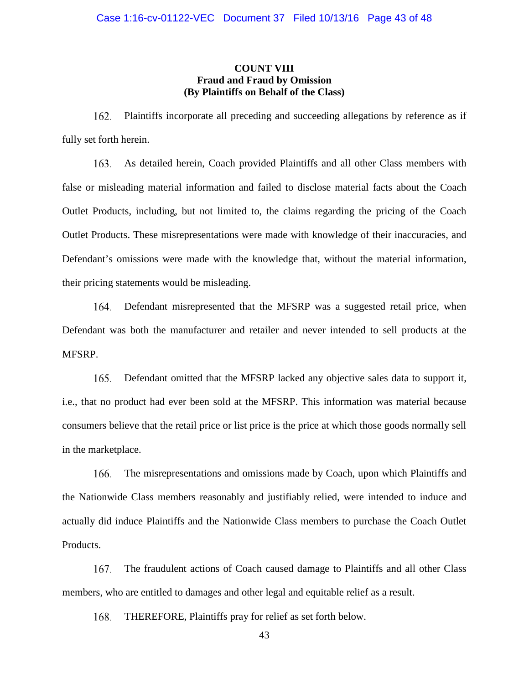## **COUNT VIII Fraud and Fraud by Omission (By Plaintiffs on Behalf of the Class)**

162. Plaintiffs incorporate all preceding and succeeding allegations by reference as if fully set forth herein.

As detailed herein, Coach provided Plaintiffs and all other Class members with 163. false or misleading material information and failed to disclose material facts about the Coach Outlet Products, including, but not limited to, the claims regarding the pricing of the Coach Outlet Products. These misrepresentations were made with knowledge of their inaccuracies, and Defendant's omissions were made with the knowledge that, without the material information, their pricing statements would be misleading.

Defendant misrepresented that the MFSRP was a suggested retail price, when 164. Defendant was both the manufacturer and retailer and never intended to sell products at the MFSRP.

165. Defendant omitted that the MFSRP lacked any objective sales data to support it, i.e., that no product had ever been sold at the MFSRP. This information was material because consumers believe that the retail price or list price is the price at which those goods normally sell in the marketplace.

166. The misrepresentations and omissions made by Coach, upon which Plaintiffs and the Nationwide Class members reasonably and justifiably relied, were intended to induce and actually did induce Plaintiffs and the Nationwide Class members to purchase the Coach Outlet Products.

The fraudulent actions of Coach caused damage to Plaintiffs and all other Class 167. members, who are entitled to damages and other legal and equitable relief as a result.

THEREFORE, Plaintiffs pray for relief as set forth below. 168.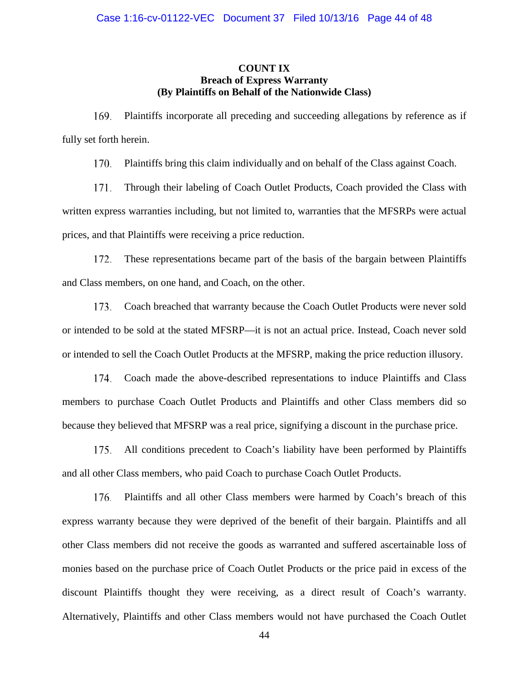## **COUNT IX Breach of Express Warranty (By Plaintiffs on Behalf of the Nationwide Class)**

169. Plaintiffs incorporate all preceding and succeeding allegations by reference as if fully set forth herein.

170. Plaintiffs bring this claim individually and on behalf of the Class against Coach.

171. Through their labeling of Coach Outlet Products, Coach provided the Class with written express warranties including, but not limited to, warranties that the MFSRPs were actual prices, and that Plaintiffs were receiving a price reduction.

172. These representations became part of the basis of the bargain between Plaintiffs and Class members, on one hand, and Coach, on the other.

Coach breached that warranty because the Coach Outlet Products were never sold 173. or intended to be sold at the stated MFSRP—it is not an actual price. Instead, Coach never sold or intended to sell the Coach Outlet Products at the MFSRP, making the price reduction illusory.

Coach made the above-described representations to induce Plaintiffs and Class members to purchase Coach Outlet Products and Plaintiffs and other Class members did so because they believed that MFSRP was a real price, signifying a discount in the purchase price.

175. All conditions precedent to Coach's liability have been performed by Plaintiffs and all other Class members, who paid Coach to purchase Coach Outlet Products.

Plaintiffs and all other Class members were harmed by Coach's breach of this 176. express warranty because they were deprived of the benefit of their bargain. Plaintiffs and all other Class members did not receive the goods as warranted and suffered ascertainable loss of monies based on the purchase price of Coach Outlet Products or the price paid in excess of the discount Plaintiffs thought they were receiving, as a direct result of Coach's warranty. Alternatively, Plaintiffs and other Class members would not have purchased the Coach Outlet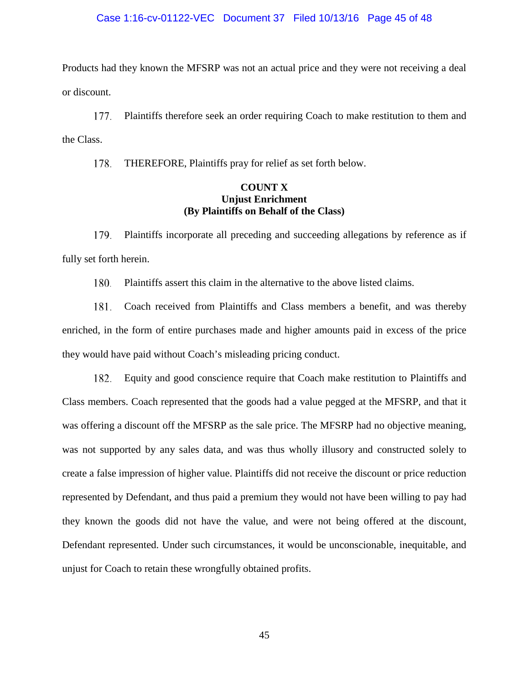#### Case 1:16-cv-01122-VEC Document 37 Filed 10/13/16 Page 45 of 48

Products had they known the MFSRP was not an actual price and they were not receiving a deal or discount.

177. Plaintiffs therefore seek an order requiring Coach to make restitution to them and the Class.

178. THEREFORE, Plaintiffs pray for relief as set forth below.

## **COUNT X Unjust Enrichment (By Plaintiffs on Behalf of the Class)**

Plaintiffs incorporate all preceding and succeeding allegations by reference as if 179. fully set forth herein.

180. Plaintiffs assert this claim in the alternative to the above listed claims.

Coach received from Plaintiffs and Class members a benefit, and was thereby 181. enriched, in the form of entire purchases made and higher amounts paid in excess of the price they would have paid without Coach's misleading pricing conduct.

182. Equity and good conscience require that Coach make restitution to Plaintiffs and Class members. Coach represented that the goods had a value pegged at the MFSRP, and that it was offering a discount off the MFSRP as the sale price. The MFSRP had no objective meaning, was not supported by any sales data, and was thus wholly illusory and constructed solely to create a false impression of higher value. Plaintiffs did not receive the discount or price reduction represented by Defendant, and thus paid a premium they would not have been willing to pay had they known the goods did not have the value, and were not being offered at the discount, Defendant represented. Under such circumstances, it would be unconscionable, inequitable, and unjust for Coach to retain these wrongfully obtained profits.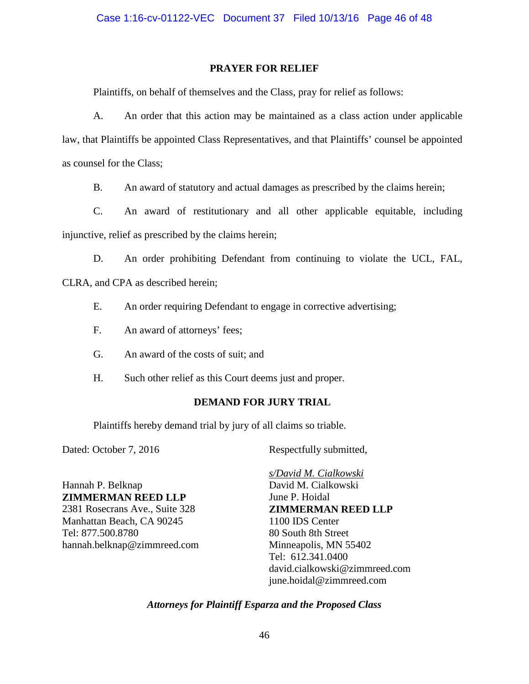## **PRAYER FOR RELIEF**

Plaintiffs, on behalf of themselves and the Class, pray for relief as follows:

A. An order that this action may be maintained as a class action under applicable law, that Plaintiffs be appointed Class Representatives, and that Plaintiffs' counsel be appointed as counsel for the Class;

B. An award of statutory and actual damages as prescribed by the claims herein;

C. An award of restitutionary and all other applicable equitable, including injunctive, relief as prescribed by the claims herein;

D. An order prohibiting Defendant from continuing to violate the UCL, FAL,

CLRA, and CPA as described herein;

- E. An order requiring Defendant to engage in corrective advertising;
- F. An award of attorneys' fees;
- G. An award of the costs of suit; and
- H. Such other relief as this Court deems just and proper.

## **DEMAND FOR JURY TRIAL**

Plaintiffs hereby demand trial by jury of all claims so triable.

Dated: October 7, 2016 Respectfully submitted,

Hannah P. Belknap **ZIMMERMAN REED LLP** 2381 Rosecrans Ave., Suite 328 Manhattan Beach, CA 90245 Tel: 877.500.8780 hannah.belknap@zimmreed.com

*s/David M. Cialkowski* David M. Cialkowski June P. Hoidal **ZIMMERMAN REED LLP** 1100 IDS Center 80 South 8th Street Minneapolis, MN 55402 Tel: 612.341.0400 david.cialkowski@zimmreed.com june.hoidal@zimmreed.com

## *Attorneys for Plaintiff Esparza and the Proposed Class*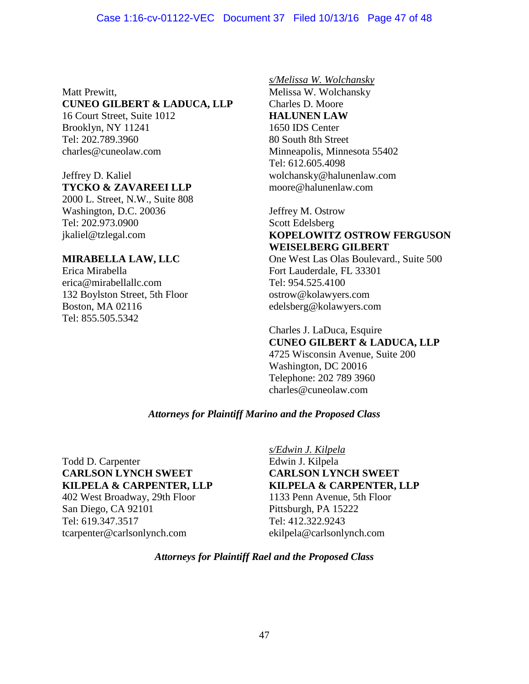## Case 1:16-cv-01122-VEC Document 37 Filed 10/13/16 Page 47 of 48

Matt Prewitt,

# **CUNEO GILBERT & LADUCA, LLP**

16 Court Street, Suite 1012 Brooklyn, NY 11241 Tel: 202.789.3960 charles@cuneolaw.com

## Jeffrey D. Kaliel **TYCKO & ZAVAREEI LLP**

2000 L. Street, N.W., Suite 808 Washington, D.C. 20036 Tel: 202.973.0900 jkaliel@tzlegal.com

## **MIRABELLA LAW, LLC**

Erica Mirabella erica@mirabellallc.com 132 Boylston Street, 5th Floor Boston, MA 02116 Tel: 855.505.5342

#### *s/Melissa W. Wolchansky*

Melissa W. Wolchansky Charles D. Moore **HALUNEN LAW** 1650 IDS Center 80 South 8th Street Minneapolis, Minnesota 55402 Tel: 612.605.4098 wolchansky@halunenlaw.com moore@halunenlaw.com

## Jeffrey M. Ostrow Scott Edelsberg **KOPELOWITZ OSTROW FERGUSON WEISELBERG GILBERT** One West Las Olas Boulevard., Suite 500 Fort Lauderdale, FL 33301 Tel: 954.525.4100 ostrow@kolawyers.com

Charles J. LaDuca, Esquire **CUNEO GILBERT & LADUCA, LLP** 4725 Wisconsin Avenue, Suite 200 Washington, DC 20016 Telephone: 202 789 3960 charles@cuneolaw.com

edelsberg@kolawyers.com

## *Attorneys for Plaintiff Marino and the Proposed Class*

Todd D. Carpenter **CARLSON LYNCH SWEET KILPELA & CARPENTER, LLP**

402 West Broadway, 29th Floor San Diego, CA 92101 Tel: 619.347.3517 tcarpenter@carlsonlynch.com

## *s/Edwin J. Kilpela*

Edwin J. Kilpela **CARLSON LYNCH SWEET KILPELA & CARPENTER, LLP**

1133 Penn Avenue, 5th Floor Pittsburgh, PA 15222 Tel: 412.322.9243 ekilpela@carlsonlynch.com

## *Attorneys for Plaintiff Rael and the Proposed Class*